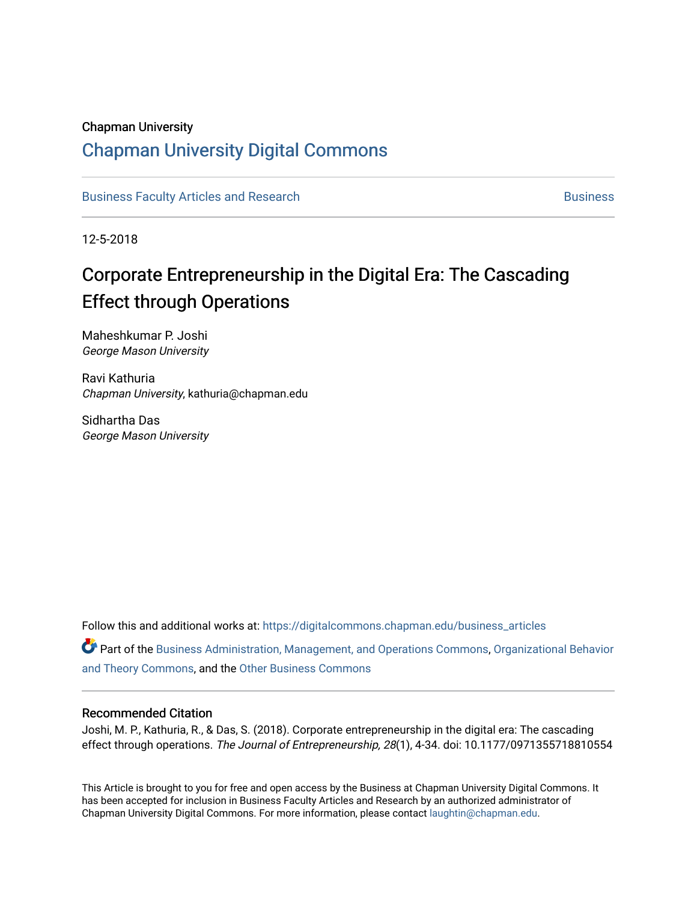## Chapman University

## [Chapman University Digital Commons](https://digitalcommons.chapman.edu/)

[Business Faculty Articles and Research](https://digitalcommons.chapman.edu/business_articles) [Business](https://digitalcommons.chapman.edu/business) **Business** Business

12-5-2018

# Corporate Entrepreneurship in the Digital Era: The Cascading Effect through Operations

Maheshkumar P. Joshi George Mason University

Ravi Kathuria Chapman University, kathuria@chapman.edu

Sidhartha Das George Mason University

Follow this and additional works at: [https://digitalcommons.chapman.edu/business\\_articles](https://digitalcommons.chapman.edu/business_articles?utm_source=digitalcommons.chapman.edu%2Fbusiness_articles%2F91&utm_medium=PDF&utm_campaign=PDFCoverPages) 

Part of the [Business Administration, Management, and Operations Commons](http://network.bepress.com/hgg/discipline/623?utm_source=digitalcommons.chapman.edu%2Fbusiness_articles%2F91&utm_medium=PDF&utm_campaign=PDFCoverPages), [Organizational Behavior](http://network.bepress.com/hgg/discipline/639?utm_source=digitalcommons.chapman.edu%2Fbusiness_articles%2F91&utm_medium=PDF&utm_campaign=PDFCoverPages) [and Theory Commons](http://network.bepress.com/hgg/discipline/639?utm_source=digitalcommons.chapman.edu%2Fbusiness_articles%2F91&utm_medium=PDF&utm_campaign=PDFCoverPages), and the [Other Business Commons](http://network.bepress.com/hgg/discipline/647?utm_source=digitalcommons.chapman.edu%2Fbusiness_articles%2F91&utm_medium=PDF&utm_campaign=PDFCoverPages)

#### Recommended Citation

Joshi, M. P., Kathuria, R., & Das, S. (2018). Corporate entrepreneurship in the digital era: The cascading effect through operations. The Journal of Entrepreneurship, 28(1), 4-34. doi: 10.1177/0971355718810554

This Article is brought to you for free and open access by the Business at Chapman University Digital Commons. It has been accepted for inclusion in Business Faculty Articles and Research by an authorized administrator of Chapman University Digital Commons. For more information, please contact [laughtin@chapman.edu](mailto:laughtin@chapman.edu).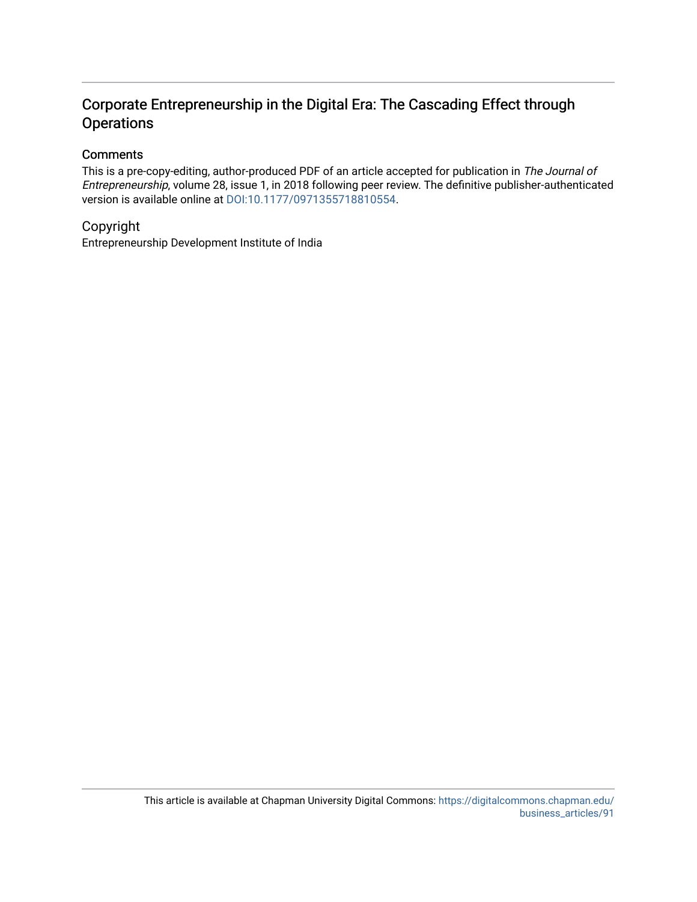## Corporate Entrepreneurship in the Digital Era: The Cascading Effect through **Operations**

## **Comments**

This is a pre-copy-editing, author-produced PDF of an article accepted for publication in The Journal of Entrepreneurship, volume 28, issue 1, in 2018 following peer review. The definitive publisher-authenticated version is available online at [DOI:10.1177/0971355718810554.](https://doi.org/10.1177/0971355718810554)

## Copyright

Entrepreneurship Development Institute of India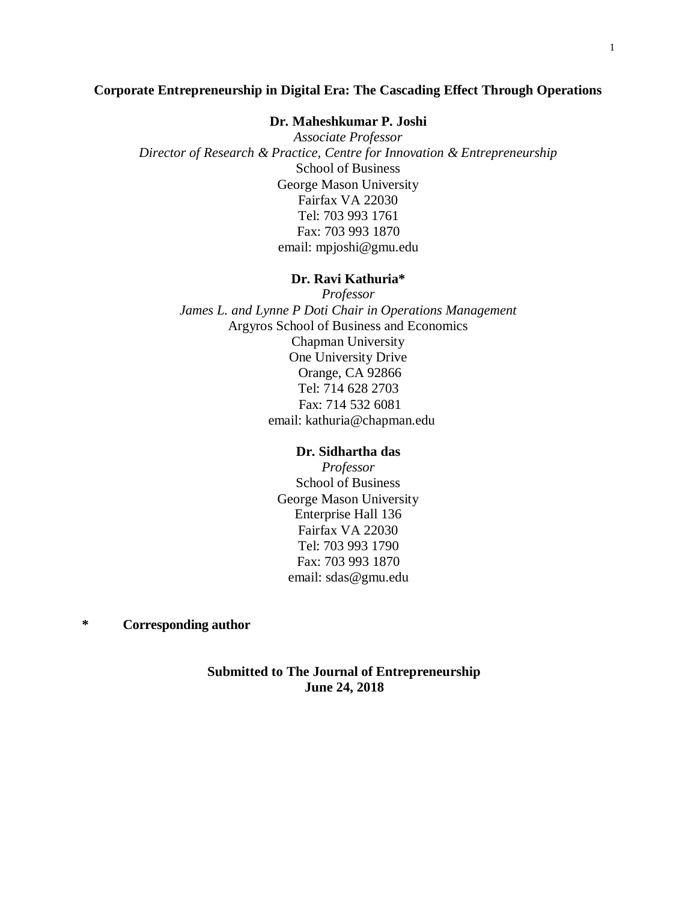### **Corporate Entrepreneurship in Digital Era: The Cascading Effect Through Operations**

## **Dr. Maheshkumar P. Joshi**

*Associate Professor Director of Research & Practice, Centre for Innovation & Entrepreneurship* School of Business George Mason University Fairfax VA 22030 Tel: 703 993 1761 Fax: 703 993 1870 email: mpjoshi@gmu.edu

#### **Dr. Ravi Kathuria\***

*Professor James L. and Lynne P Doti Chair in Operations Management* Argyros School of Business and Economics Chapman University One University Drive Orange, CA 92866 Tel: 714 628 2703 Fax: 714 532 6081 email: kathuria@chapman.edu

#### **Dr. Sidhartha das**

*Professor* School of Business George Mason University Enterprise Hall 136 Fairfax VA 22030 Tel: 703 993 1790 Fax: 703 993 1870 email: sdas@gmu.edu

## **\* Corresponding author**

## **Submitted to The Journal of Entrepreneurship June 24, 2018**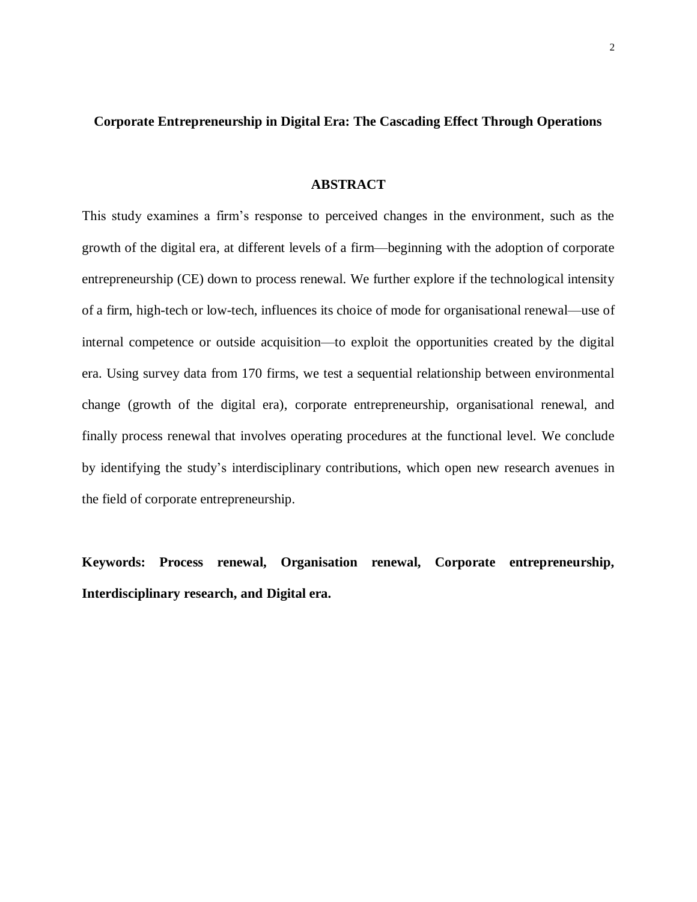### **Corporate Entrepreneurship in Digital Era: The Cascading Effect Through Operations**

#### **ABSTRACT**

This study examines a firm's response to perceived changes in the environment, such as the growth of the digital era, at different levels of a firm—beginning with the adoption of corporate entrepreneurship (CE) down to process renewal. We further explore if the technological intensity of a firm, high-tech or low-tech, influences its choice of mode for organisational renewal—use of internal competence or outside acquisition—to exploit the opportunities created by the digital era. Using survey data from 170 firms, we test a sequential relationship between environmental change (growth of the digital era), corporate entrepreneurship, organisational renewal, and finally process renewal that involves operating procedures at the functional level. We conclude by identifying the study's interdisciplinary contributions, which open new research avenues in the field of corporate entrepreneurship.

**Keywords: Process renewal, Organisation renewal, Corporate entrepreneurship, Interdisciplinary research, and Digital era.**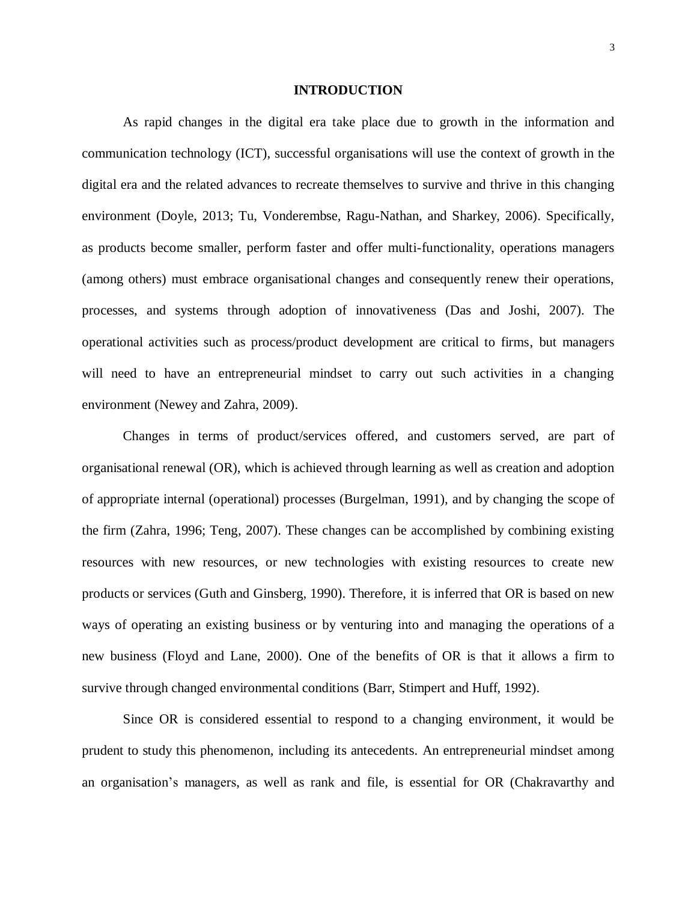#### **INTRODUCTION**

As rapid changes in the digital era take place due to growth in the information and communication technology (ICT), successful organisations will use the context of growth in the digital era and the related advances to recreate themselves to survive and thrive in this changing environment (Doyle, 2013; Tu, Vonderembse, Ragu-Nathan, and Sharkey, 2006). Specifically, as products become smaller, perform faster and offer multi-functionality, operations managers (among others) must embrace organisational changes and consequently renew their operations, processes, and systems through adoption of innovativeness (Das and Joshi, 2007). The operational activities such as process/product development are critical to firms, but managers will need to have an entrepreneurial mindset to carry out such activities in a changing environment (Newey and Zahra, 2009).

Changes in terms of product/services offered, and customers served, are part of organisational renewal (OR), which is achieved through learning as well as creation and adoption of appropriate internal (operational) processes (Burgelman, 1991), and by changing the scope of the firm (Zahra, 1996; Teng, 2007). These changes can be accomplished by combining existing resources with new resources, or new technologies with existing resources to create new products or services (Guth and Ginsberg, 1990). Therefore, it is inferred that OR is based on new ways of operating an existing business or by venturing into and managing the operations of a new business (Floyd and Lane, 2000). One of the benefits of OR is that it allows a firm to survive through changed environmental conditions (Barr, Stimpert and Huff, 1992).

Since OR is considered essential to respond to a changing environment, it would be prudent to study this phenomenon, including its antecedents. An entrepreneurial mindset among an organisation's managers, as well as rank and file, is essential for OR (Chakravarthy and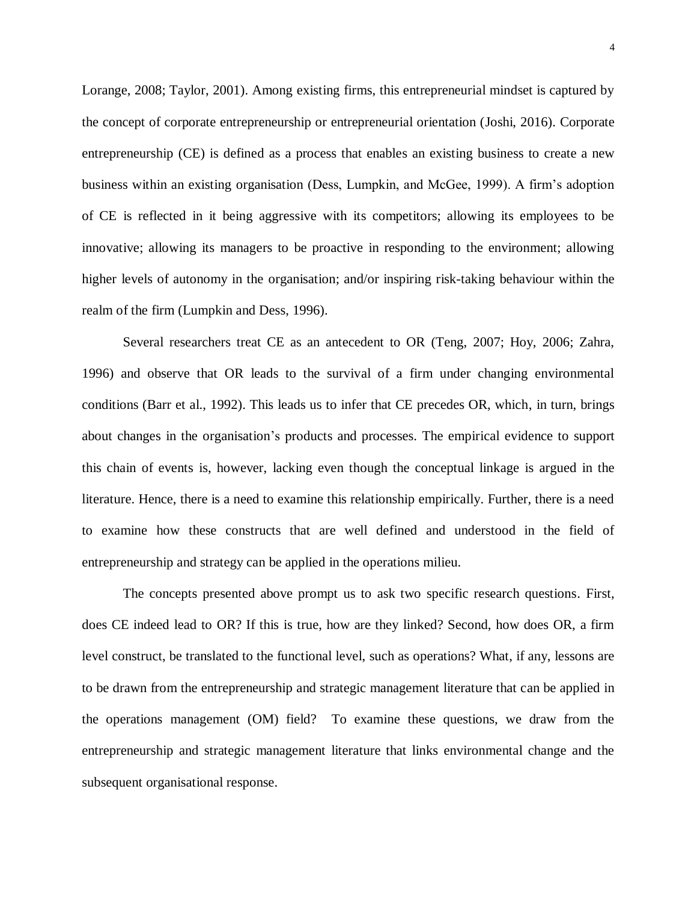Lorange, 2008; Taylor, 2001). Among existing firms, this entrepreneurial mindset is captured by the concept of corporate entrepreneurship or entrepreneurial orientation (Joshi, 2016). Corporate entrepreneurship (CE) is defined as a process that enables an existing business to create a new business within an existing organisation (Dess, Lumpkin, and McGee, 1999). A firm's adoption of CE is reflected in it being aggressive with its competitors; allowing its employees to be innovative; allowing its managers to be proactive in responding to the environment; allowing higher levels of autonomy in the organisation; and/or inspiring risk-taking behaviour within the realm of the firm (Lumpkin and Dess, 1996).

Several researchers treat CE as an antecedent to OR (Teng, 2007; Hoy, 2006; Zahra, 1996) and observe that OR leads to the survival of a firm under changing environmental conditions (Barr et al., 1992). This leads us to infer that CE precedes OR, which, in turn, brings about changes in the organisation's products and processes. The empirical evidence to support this chain of events is, however, lacking even though the conceptual linkage is argued in the literature. Hence, there is a need to examine this relationship empirically. Further, there is a need to examine how these constructs that are well defined and understood in the field of entrepreneurship and strategy can be applied in the operations milieu.

The concepts presented above prompt us to ask two specific research questions. First, does CE indeed lead to OR? If this is true, how are they linked? Second, how does OR, a firm level construct, be translated to the functional level, such as operations? What, if any, lessons are to be drawn from the entrepreneurship and strategic management literature that can be applied in the operations management (OM) field? To examine these questions, we draw from the entrepreneurship and strategic management literature that links environmental change and the subsequent organisational response.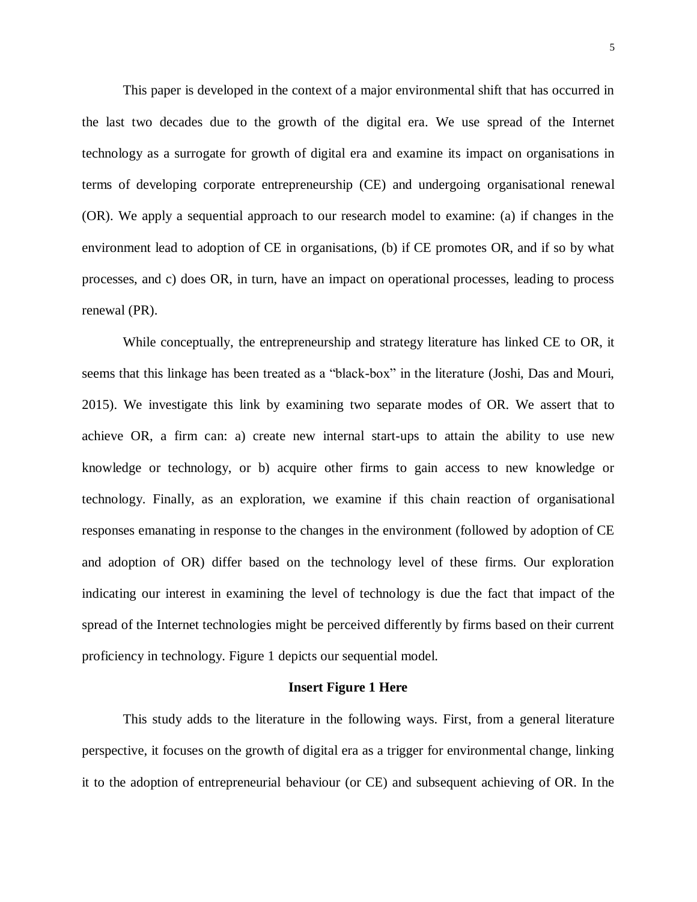This paper is developed in the context of a major environmental shift that has occurred in the last two decades due to the growth of the digital era. We use spread of the Internet technology as a surrogate for growth of digital era and examine its impact on organisations in terms of developing corporate entrepreneurship (CE) and undergoing organisational renewal (OR). We apply a sequential approach to our research model to examine: (a) if changes in the environment lead to adoption of CE in organisations, (b) if CE promotes OR, and if so by what processes, and c) does OR, in turn, have an impact on operational processes, leading to process renewal (PR).

While conceptually, the entrepreneurship and strategy literature has linked CE to OR, it seems that this linkage has been treated as a "black-box" in the literature (Joshi, Das and Mouri, 2015). We investigate this link by examining two separate modes of OR. We assert that to achieve OR, a firm can: a) create new internal start-ups to attain the ability to use new knowledge or technology, or b) acquire other firms to gain access to new knowledge or technology. Finally, as an exploration, we examine if this chain reaction of organisational responses emanating in response to the changes in the environment (followed by adoption of CE and adoption of OR) differ based on the technology level of these firms. Our exploration indicating our interest in examining the level of technology is due the fact that impact of the spread of the Internet technologies might be perceived differently by firms based on their current proficiency in technology. Figure 1 depicts our sequential model.

#### **Insert Figure 1 Here**

This study adds to the literature in the following ways. First, from a general literature perspective, it focuses on the growth of digital era as a trigger for environmental change, linking it to the adoption of entrepreneurial behaviour (or CE) and subsequent achieving of OR. In the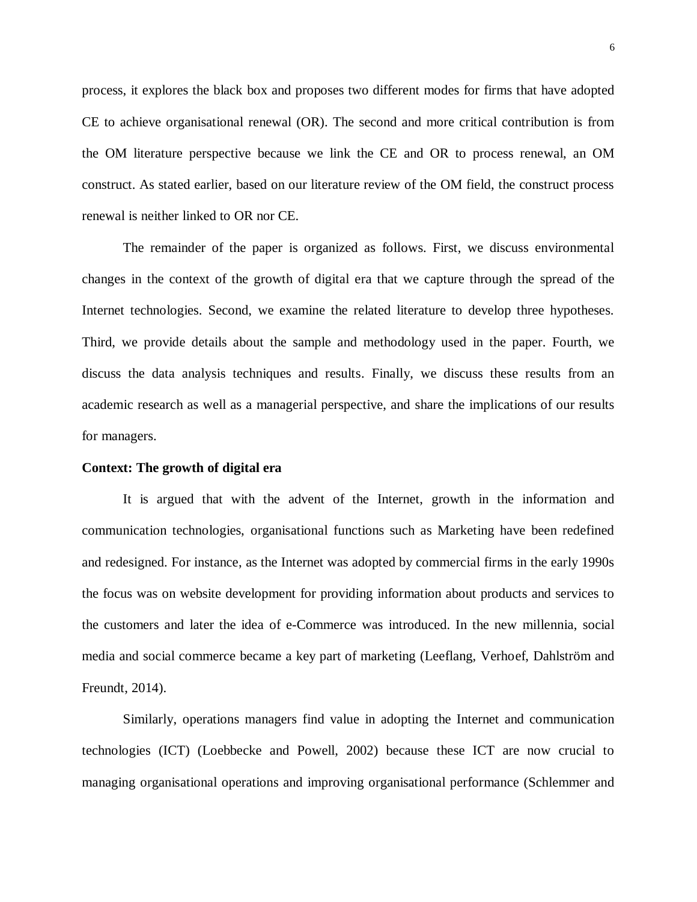process, it explores the black box and proposes two different modes for firms that have adopted CE to achieve organisational renewal (OR). The second and more critical contribution is from the OM literature perspective because we link the CE and OR to process renewal, an OM construct. As stated earlier, based on our literature review of the OM field, the construct process renewal is neither linked to OR nor CE.

The remainder of the paper is organized as follows. First, we discuss environmental changes in the context of the growth of digital era that we capture through the spread of the Internet technologies. Second, we examine the related literature to develop three hypotheses. Third, we provide details about the sample and methodology used in the paper. Fourth, we discuss the data analysis techniques and results. Finally, we discuss these results from an academic research as well as a managerial perspective, and share the implications of our results for managers.

#### **Context: The growth of digital era**

It is argued that with the advent of the Internet, growth in the information and communication technologies, organisational functions such as Marketing have been redefined and redesigned. For instance, as the Internet was adopted by commercial firms in the early 1990s the focus was on website development for providing information about products and services to the customers and later the idea of e-Commerce was introduced. In the new millennia, social media and social commerce became a key part of marketing (Leeflang, Verhoef, Dahlström and Freundt, 2014).

Similarly, operations managers find value in adopting the Internet and communication technologies (ICT) (Loebbecke and Powell, 2002) because these ICT are now crucial to managing organisational operations and improving organisational performance (Schlemmer and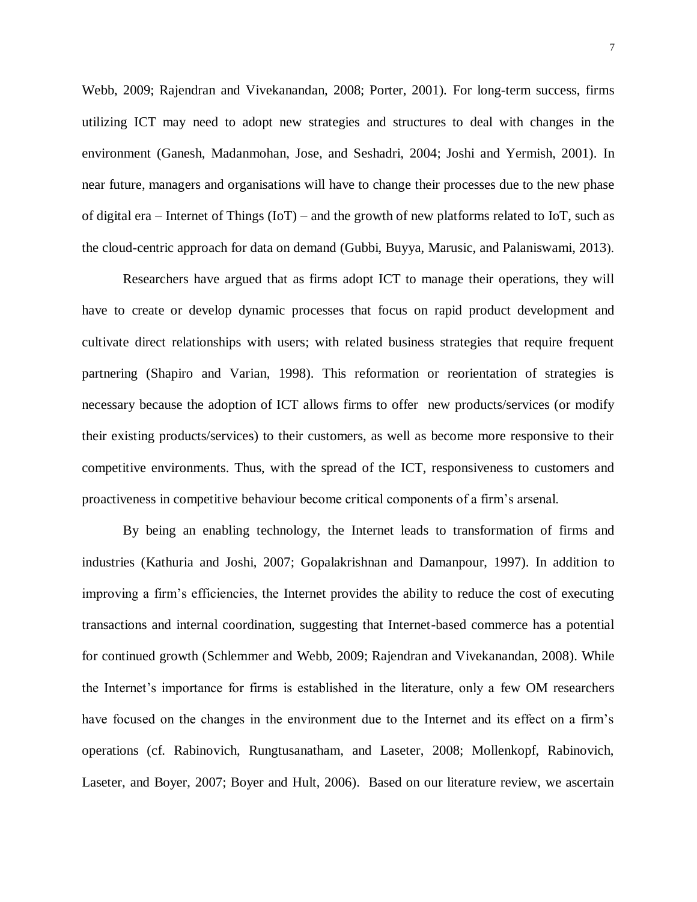Webb, 2009; Rajendran and Vivekanandan, 2008; Porter, 2001). For long-term success, firms utilizing ICT may need to adopt new strategies and structures to deal with changes in the environment (Ganesh, Madanmohan, Jose, and Seshadri, 2004; Joshi and Yermish, 2001). In near future, managers and organisations will have to change their processes due to the new phase of digital era – Internet of Things (IoT) – and the growth of new platforms related to IoT, such as the cloud-centric approach for data on demand (Gubbi, Buyya, Marusic, and Palaniswami, 2013).

Researchers have argued that as firms adopt ICT to manage their operations, they will have to create or develop dynamic processes that focus on rapid product development and cultivate direct relationships with users; with related business strategies that require frequent partnering (Shapiro and Varian, 1998). This reformation or reorientation of strategies is necessary because the adoption of ICT allows firms to offer new products/services (or modify their existing products/services) to their customers, as well as become more responsive to their competitive environments. Thus, with the spread of the ICT, responsiveness to customers and proactiveness in competitive behaviour become critical components of a firm's arsenal.

By being an enabling technology, the Internet leads to transformation of firms and industries (Kathuria and Joshi, 2007; Gopalakrishnan and Damanpour, 1997). In addition to improving a firm's efficiencies, the Internet provides the ability to reduce the cost of executing transactions and internal coordination, suggesting that Internet-based commerce has a potential for continued growth (Schlemmer and Webb, 2009; Rajendran and Vivekanandan, 2008). While the Internet's importance for firms is established in the literature, only a few OM researchers have focused on the changes in the environment due to the Internet and its effect on a firm's operations (cf. Rabinovich, Rungtusanatham, and Laseter, 2008; Mollenkopf, Rabinovich, Laseter, and Boyer, 2007; Boyer and Hult, 2006). Based on our literature review, we ascertain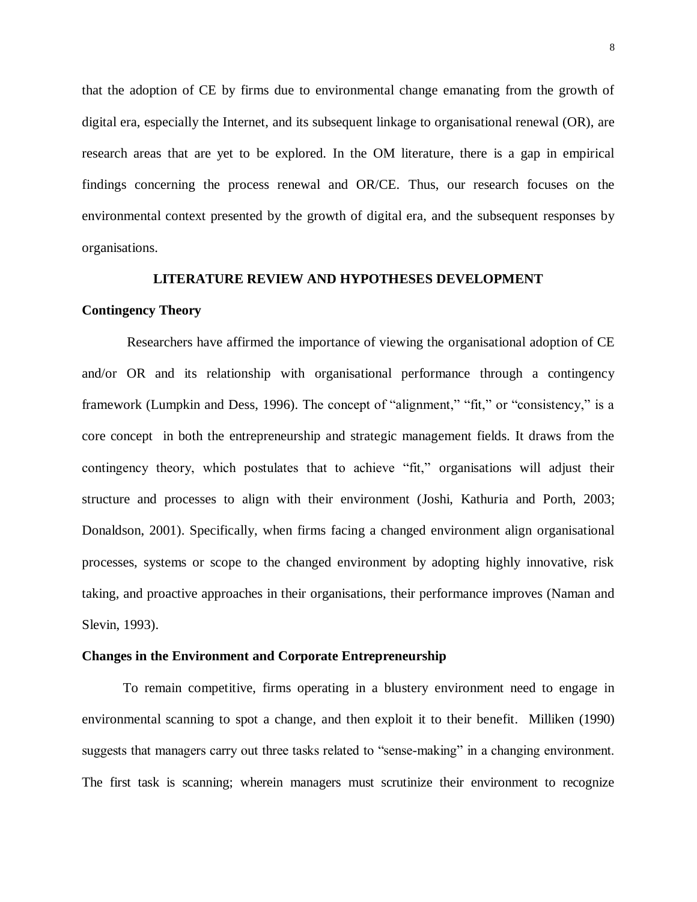that the adoption of CE by firms due to environmental change emanating from the growth of digital era, especially the Internet, and its subsequent linkage to organisational renewal (OR), are research areas that are yet to be explored. In the OM literature, there is a gap in empirical findings concerning the process renewal and OR/CE. Thus, our research focuses on the environmental context presented by the growth of digital era, and the subsequent responses by organisations.

#### **LITERATURE REVIEW AND HYPOTHESES DEVELOPMENT**

#### **Contingency Theory**

Researchers have affirmed the importance of viewing the organisational adoption of CE and/or OR and its relationship with organisational performance through a contingency framework (Lumpkin and Dess, 1996). The concept of "alignment," "fit," or "consistency," is a core concept in both the entrepreneurship and strategic management fields. It draws from the contingency theory, which postulates that to achieve "fit," organisations will adjust their structure and processes to align with their environment (Joshi, Kathuria and Porth, 2003; Donaldson, 2001). Specifically, when firms facing a changed environment align organisational processes, systems or scope to the changed environment by adopting highly innovative, risk taking, and proactive approaches in their organisations, their performance improves (Naman and Slevin, 1993).

#### **Changes in the Environment and Corporate Entrepreneurship**

To remain competitive, firms operating in a blustery environment need to engage in environmental scanning to spot a change, and then exploit it to their benefit. Milliken (1990) suggests that managers carry out three tasks related to "sense-making" in a changing environment. The first task is scanning; wherein managers must scrutinize their environment to recognize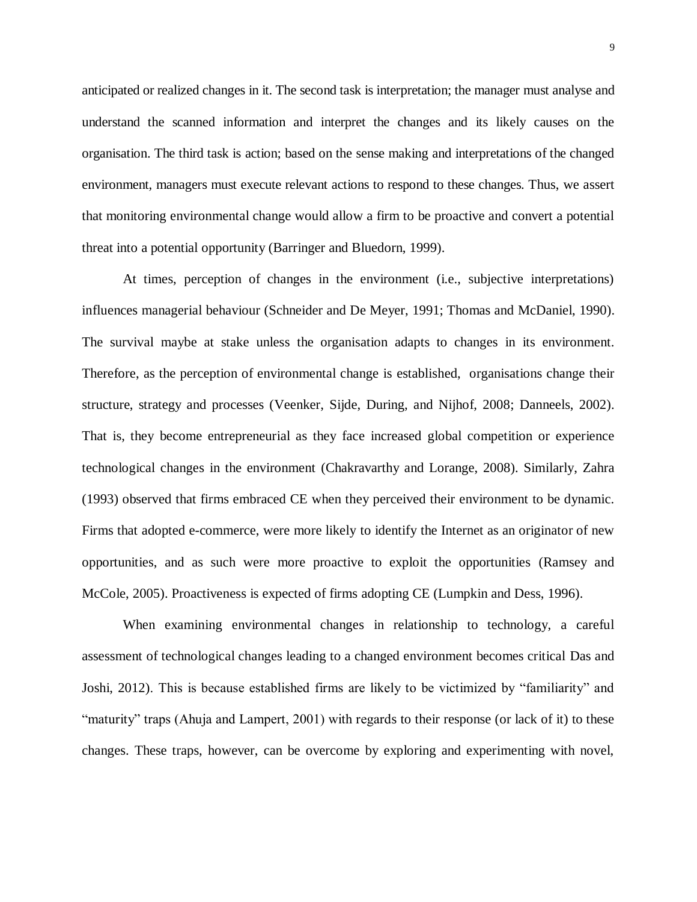anticipated or realized changes in it. The second task is interpretation; the manager must analyse and understand the scanned information and interpret the changes and its likely causes on the organisation. The third task is action; based on the sense making and interpretations of the changed environment, managers must execute relevant actions to respond to these changes. Thus, we assert that monitoring environmental change would allow a firm to be proactive and convert a potential threat into a potential opportunity (Barringer and Bluedorn, 1999).

At times, perception of changes in the environment (i.e., subjective interpretations) influences managerial behaviour (Schneider and De Meyer, 1991; Thomas and McDaniel, 1990). The survival maybe at stake unless the organisation adapts to changes in its environment. Therefore, as the perception of environmental change is established, organisations change their structure, strategy and processes (Veenker, Sijde, During, and Nijhof, 2008; Danneels, 2002). That is, they become entrepreneurial as they face increased global competition or experience technological changes in the environment (Chakravarthy and Lorange, 2008). Similarly, Zahra (1993) observed that firms embraced CE when they perceived their environment to be dynamic. Firms that adopted e-commerce, were more likely to identify the Internet as an originator of new opportunities, and as such were more proactive to exploit the opportunities (Ramsey and McCole, 2005). Proactiveness is expected of firms adopting CE (Lumpkin and Dess, 1996).

When examining environmental changes in relationship to technology, a careful assessment of technological changes leading to a changed environment becomes critical Das and Joshi, 2012). This is because established firms are likely to be victimized by "familiarity" and "maturity" traps (Ahuja and Lampert, 2001) with regards to their response (or lack of it) to these changes. These traps, however, can be overcome by exploring and experimenting with novel,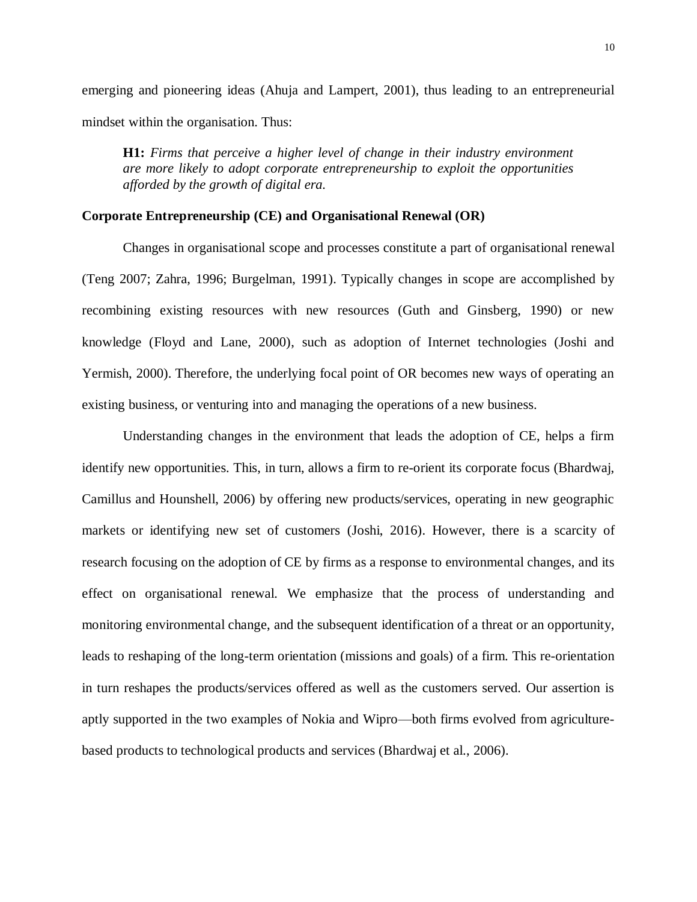emerging and pioneering ideas (Ahuja and Lampert, 2001), thus leading to an entrepreneurial mindset within the organisation. Thus:

**H1:** *Firms that perceive a higher level of change in their industry environment are more likely to adopt corporate entrepreneurship to exploit the opportunities afforded by the growth of digital era.*

#### **Corporate Entrepreneurship (CE) and Organisational Renewal (OR)**

Changes in organisational scope and processes constitute a part of organisational renewal (Teng 2007; Zahra, 1996; Burgelman, 1991). Typically changes in scope are accomplished by recombining existing resources with new resources (Guth and Ginsberg, 1990) or new knowledge (Floyd and Lane, 2000), such as adoption of Internet technologies (Joshi and Yermish, 2000). Therefore, the underlying focal point of OR becomes new ways of operating an existing business, or venturing into and managing the operations of a new business.

Understanding changes in the environment that leads the adoption of CE, helps a firm identify new opportunities. This, in turn, allows a firm to re-orient its corporate focus (Bhardwaj, Camillus and Hounshell, 2006) by offering new products/services, operating in new geographic markets or identifying new set of customers (Joshi, 2016). However, there is a scarcity of research focusing on the adoption of CE by firms as a response to environmental changes, and its effect on organisational renewal. We emphasize that the process of understanding and monitoring environmental change, and the subsequent identification of a threat or an opportunity, leads to reshaping of the long-term orientation (missions and goals) of a firm. This re-orientation in turn reshapes the products/services offered as well as the customers served. Our assertion is aptly supported in the two examples of Nokia and Wipro—both firms evolved from agriculturebased products to technological products and services (Bhardwaj et al., 2006).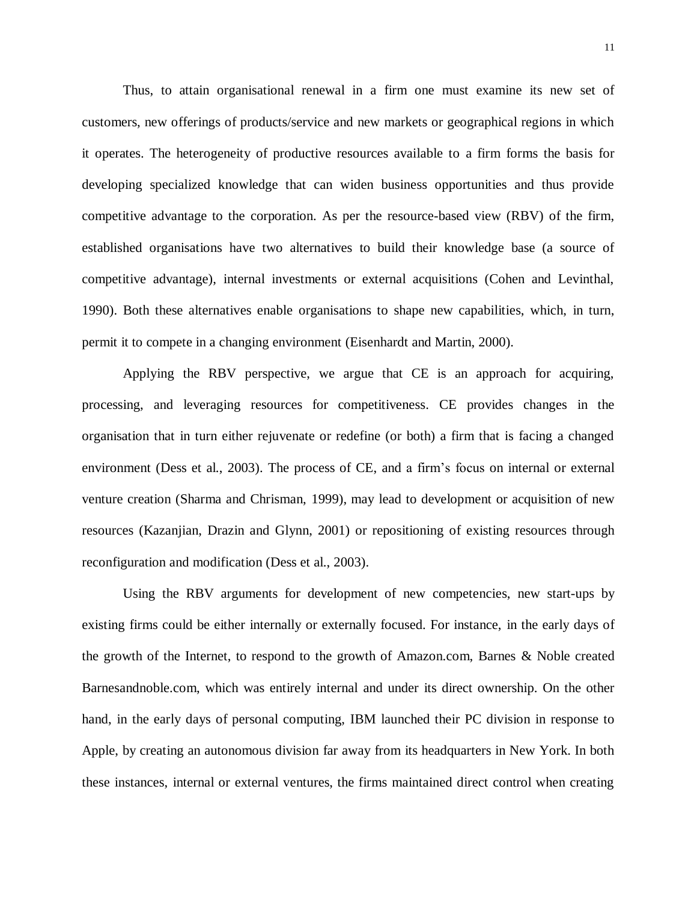Thus, to attain organisational renewal in a firm one must examine its new set of customers, new offerings of products/service and new markets or geographical regions in which it operates. The heterogeneity of productive resources available to a firm forms the basis for developing specialized knowledge that can widen business opportunities and thus provide competitive advantage to the corporation. As per the resource-based view (RBV) of the firm, established organisations have two alternatives to build their knowledge base (a source of competitive advantage), internal investments or external acquisitions (Cohen and Levinthal, 1990). Both these alternatives enable organisations to shape new capabilities, which, in turn, permit it to compete in a changing environment (Eisenhardt and Martin, 2000).

Applying the RBV perspective, we argue that CE is an approach for acquiring, processing, and leveraging resources for competitiveness. CE provides changes in the organisation that in turn either rejuvenate or redefine (or both) a firm that is facing a changed environment (Dess et al., 2003). The process of CE, and a firm's focus on internal or external venture creation (Sharma and Chrisman, 1999), may lead to development or acquisition of new resources (Kazanjian, Drazin and Glynn, 2001) or repositioning of existing resources through reconfiguration and modification (Dess et al., 2003).

Using the RBV arguments for development of new competencies, new start-ups by existing firms could be either internally or externally focused. For instance, in the early days of the growth of the Internet, to respond to the growth of Amazon.com, Barnes & Noble created Barnesandnoble.com, which was entirely internal and under its direct ownership. On the other hand, in the early days of personal computing, IBM launched their PC division in response to Apple, by creating an autonomous division far away from its headquarters in New York. In both these instances, internal or external ventures, the firms maintained direct control when creating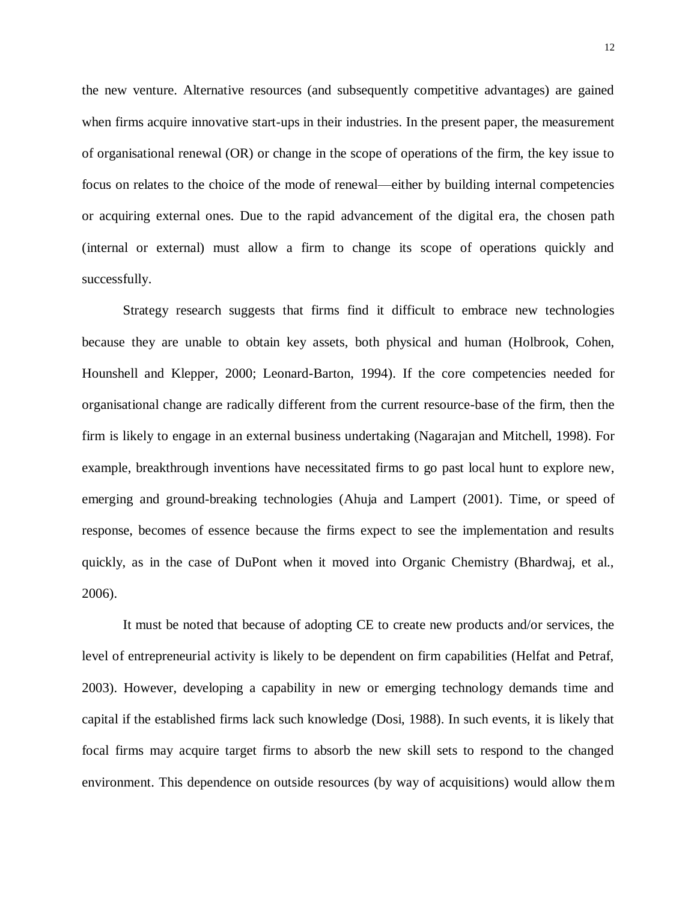the new venture. Alternative resources (and subsequently competitive advantages) are gained when firms acquire innovative start-ups in their industries. In the present paper, the measurement of organisational renewal (OR) or change in the scope of operations of the firm, the key issue to focus on relates to the choice of the mode of renewal—either by building internal competencies or acquiring external ones. Due to the rapid advancement of the digital era, the chosen path (internal or external) must allow a firm to change its scope of operations quickly and successfully.

Strategy research suggests that firms find it difficult to embrace new technologies because they are unable to obtain key assets, both physical and human (Holbrook, Cohen, Hounshell and Klepper, 2000; Leonard-Barton, 1994). If the core competencies needed for organisational change are radically different from the current resource-base of the firm, then the firm is likely to engage in an external business undertaking (Nagarajan and Mitchell, 1998). For example, breakthrough inventions have necessitated firms to go past local hunt to explore new, emerging and ground-breaking technologies (Ahuja and Lampert (2001). Time, or speed of response, becomes of essence because the firms expect to see the implementation and results quickly, as in the case of DuPont when it moved into Organic Chemistry (Bhardwaj, et al., 2006).

It must be noted that because of adopting CE to create new products and/or services, the level of entrepreneurial activity is likely to be dependent on firm capabilities (Helfat and Petraf, 2003). However, developing a capability in new or emerging technology demands time and capital if the established firms lack such knowledge (Dosi, 1988). In such events, it is likely that focal firms may acquire target firms to absorb the new skill sets to respond to the changed environment. This dependence on outside resources (by way of acquisitions) would allow them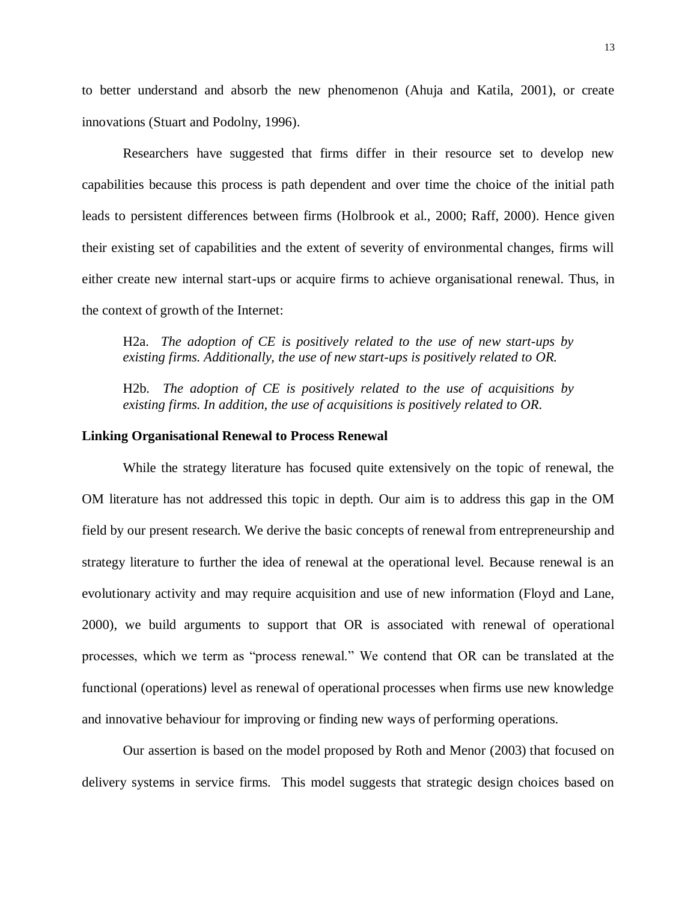to better understand and absorb the new phenomenon (Ahuja and Katila, 2001), or create innovations (Stuart and Podolny, 1996).

Researchers have suggested that firms differ in their resource set to develop new capabilities because this process is path dependent and over time the choice of the initial path leads to persistent differences between firms (Holbrook et al., 2000; Raff, 2000). Hence given their existing set of capabilities and the extent of severity of environmental changes, firms will either create new internal start-ups or acquire firms to achieve organisational renewal. Thus, in the context of growth of the Internet:

H2a. *The adoption of CE is positively related to the use of new start-ups by existing firms. Additionally, the use of new start-ups is positively related to OR.*

H2b. *The adoption of CE is positively related to the use of acquisitions by existing firms. In addition, the use of acquisitions is positively related to OR.*

#### **Linking Organisational Renewal to Process Renewal**

While the strategy literature has focused quite extensively on the topic of renewal, the OM literature has not addressed this topic in depth. Our aim is to address this gap in the OM field by our present research. We derive the basic concepts of renewal from entrepreneurship and strategy literature to further the idea of renewal at the operational level. Because renewal is an evolutionary activity and may require acquisition and use of new information (Floyd and Lane, 2000), we build arguments to support that OR is associated with renewal of operational processes, which we term as "process renewal." We contend that OR can be translated at the functional (operations) level as renewal of operational processes when firms use new knowledge and innovative behaviour for improving or finding new ways of performing operations.

Our assertion is based on the model proposed by Roth and Menor (2003) that focused on delivery systems in service firms. This model suggests that strategic design choices based on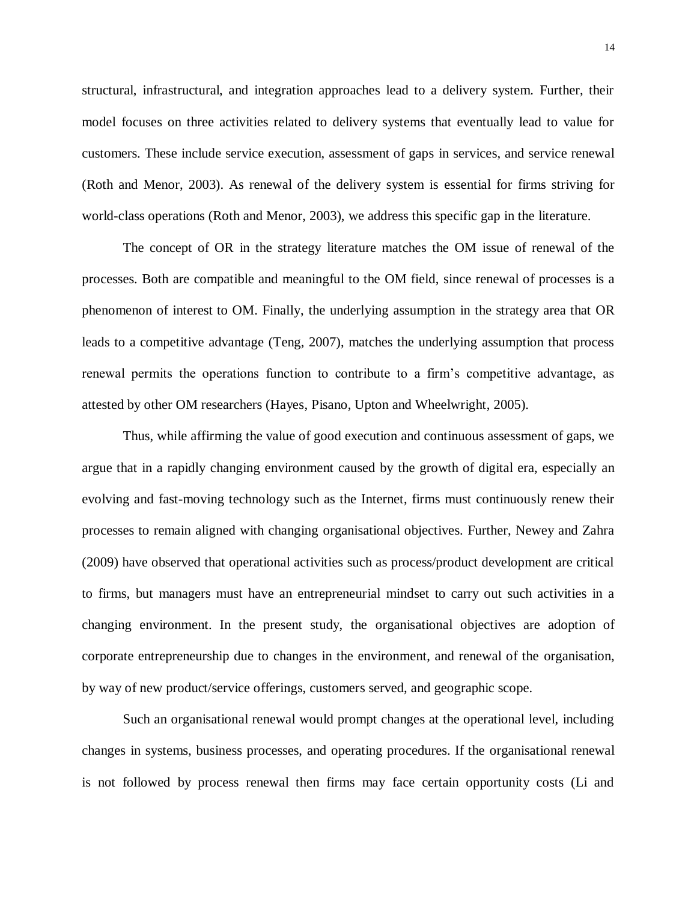structural, infrastructural, and integration approaches lead to a delivery system. Further, their model focuses on three activities related to delivery systems that eventually lead to value for customers. These include service execution, assessment of gaps in services, and service renewal (Roth and Menor, 2003). As renewal of the delivery system is essential for firms striving for world-class operations (Roth and Menor, 2003), we address this specific gap in the literature.

The concept of OR in the strategy literature matches the OM issue of renewal of the processes. Both are compatible and meaningful to the OM field, since renewal of processes is a phenomenon of interest to OM. Finally, the underlying assumption in the strategy area that OR leads to a competitive advantage (Teng, 2007), matches the underlying assumption that process renewal permits the operations function to contribute to a firm's competitive advantage, as attested by other OM researchers (Hayes, Pisano, Upton and Wheelwright, 2005).

Thus, while affirming the value of good execution and continuous assessment of gaps, we argue that in a rapidly changing environment caused by the growth of digital era, especially an evolving and fast-moving technology such as the Internet, firms must continuously renew their processes to remain aligned with changing organisational objectives. Further, Newey and Zahra (2009) have observed that operational activities such as process/product development are critical to firms, but managers must have an entrepreneurial mindset to carry out such activities in a changing environment. In the present study, the organisational objectives are adoption of corporate entrepreneurship due to changes in the environment, and renewal of the organisation, by way of new product/service offerings, customers served, and geographic scope.

Such an organisational renewal would prompt changes at the operational level, including changes in systems, business processes, and operating procedures. If the organisational renewal is not followed by process renewal then firms may face certain opportunity costs (Li and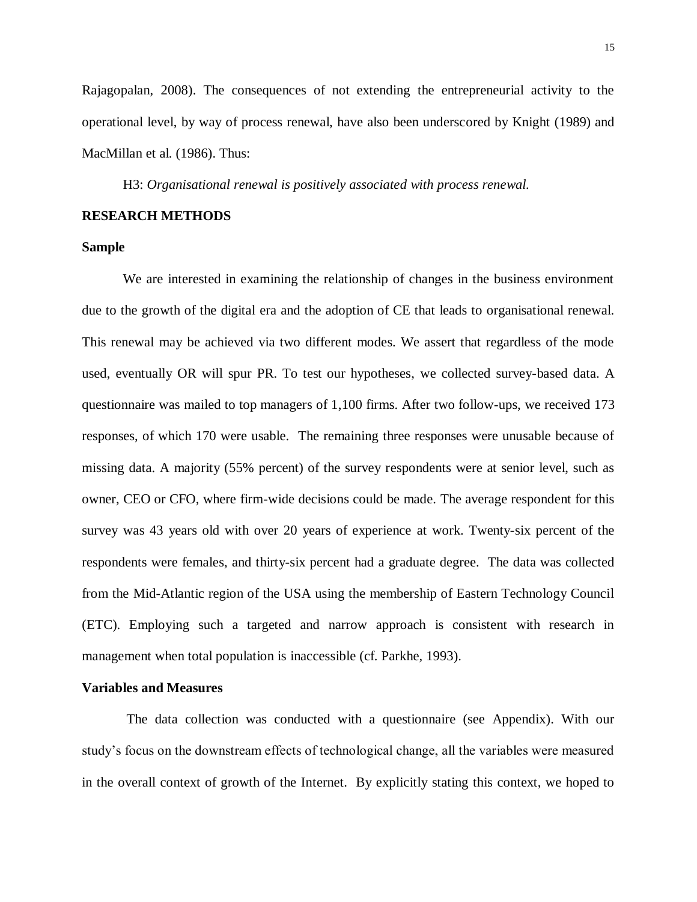Rajagopalan, 2008). The consequences of not extending the entrepreneurial activity to the operational level, by way of process renewal, have also been underscored by Knight (1989) and MacMillan et al. (1986). Thus:

H3: *Organisational renewal is positively associated with process renewal.*

## **RESEARCH METHODS**

#### **Sample**

We are interested in examining the relationship of changes in the business environment due to the growth of the digital era and the adoption of CE that leads to organisational renewal. This renewal may be achieved via two different modes. We assert that regardless of the mode used, eventually OR will spur PR. To test our hypotheses, we collected survey-based data. A questionnaire was mailed to top managers of 1,100 firms. After two follow-ups, we received 173 responses, of which 170 were usable. The remaining three responses were unusable because of missing data. A majority (55% percent) of the survey respondents were at senior level, such as owner, CEO or CFO, where firm-wide decisions could be made. The average respondent for this survey was 43 years old with over 20 years of experience at work. Twenty-six percent of the respondents were females, and thirty-six percent had a graduate degree. The data was collected from the Mid-Atlantic region of the USA using the membership of Eastern Technology Council (ETC). Employing such a targeted and narrow approach is consistent with research in management when total population is inaccessible (cf. Parkhe, 1993).

#### **Variables and Measures**

The data collection was conducted with a questionnaire (see Appendix). With our study's focus on the downstream effects of technological change, all the variables were measured in the overall context of growth of the Internet. By explicitly stating this context, we hoped to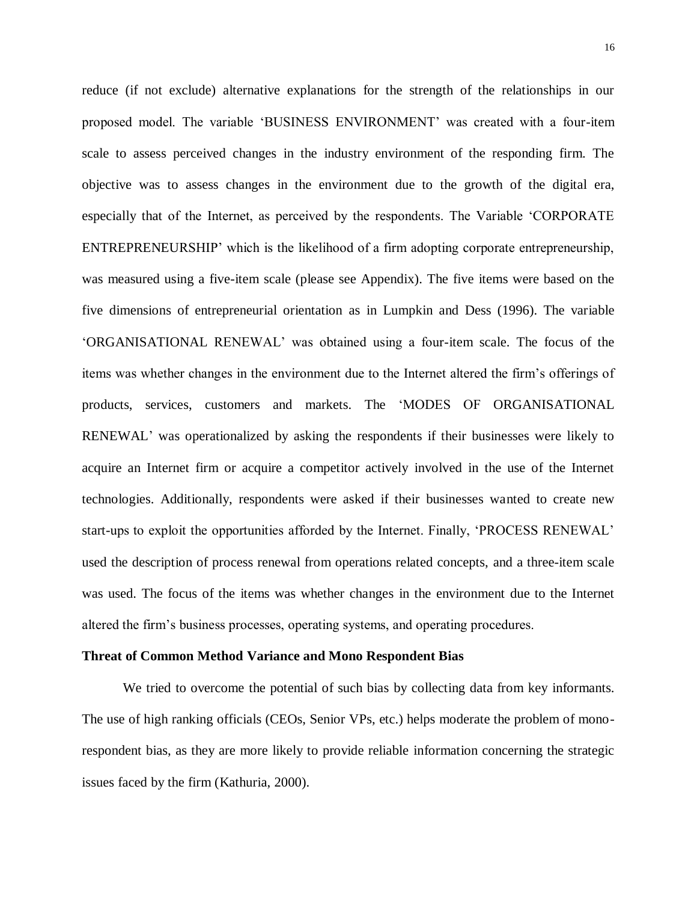reduce (if not exclude) alternative explanations for the strength of the relationships in our proposed model. The variable 'BUSINESS ENVIRONMENT' was created with a four-item scale to assess perceived changes in the industry environment of the responding firm. The objective was to assess changes in the environment due to the growth of the digital era, especially that of the Internet, as perceived by the respondents. The Variable 'CORPORATE ENTREPRENEURSHIP' which is the likelihood of a firm adopting corporate entrepreneurship, was measured using a five-item scale (please see Appendix). The five items were based on the five dimensions of entrepreneurial orientation as in Lumpkin and Dess (1996). The variable 'ORGANISATIONAL RENEWAL' was obtained using a four-item scale. The focus of the items was whether changes in the environment due to the Internet altered the firm's offerings of products, services, customers and markets. The 'MODES OF ORGANISATIONAL RENEWAL' was operationalized by asking the respondents if their businesses were likely to acquire an Internet firm or acquire a competitor actively involved in the use of the Internet technologies. Additionally, respondents were asked if their businesses wanted to create new start-ups to exploit the opportunities afforded by the Internet. Finally, 'PROCESS RENEWAL' used the description of process renewal from operations related concepts, and a three-item scale was used. The focus of the items was whether changes in the environment due to the Internet altered the firm's business processes, operating systems, and operating procedures.

#### **Threat of Common Method Variance and Mono Respondent Bias**

We tried to overcome the potential of such bias by collecting data from key informants. The use of high ranking officials (CEOs, Senior VPs, etc.) helps moderate the problem of monorespondent bias, as they are more likely to provide reliable information concerning the strategic issues faced by the firm (Kathuria, 2000).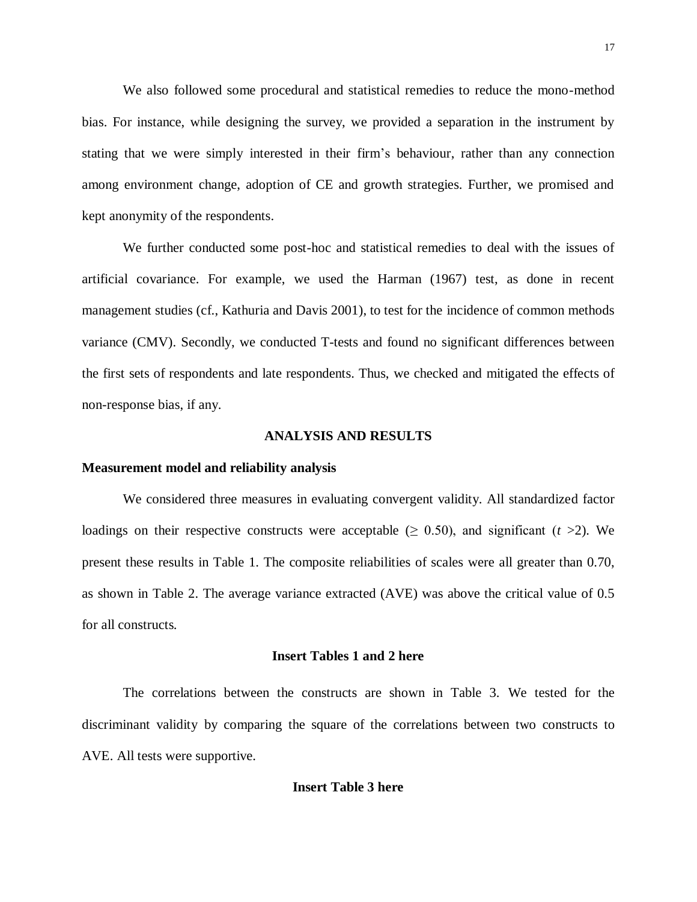We also followed some procedural and statistical remedies to reduce the mono-method bias. For instance, while designing the survey, we provided a separation in the instrument by stating that we were simply interested in their firm's behaviour, rather than any connection among environment change, adoption of CE and growth strategies. Further, we promised and kept anonymity of the respondents.

We further conducted some post-hoc and statistical remedies to deal with the issues of artificial covariance. For example, we used the Harman (1967) test, as done in recent management studies (cf., Kathuria and Davis 2001), to test for the incidence of common methods variance (CMV). Secondly, we conducted T-tests and found no significant differences between the first sets of respondents and late respondents. Thus, we checked and mitigated the effects of non-response bias, if any.

#### **ANALYSIS AND RESULTS**

#### **Measurement model and reliability analysis**

We considered three measures in evaluating convergent validity. All standardized factor loadings on their respective constructs were acceptable ( $\geq 0.50$ ), and significant (*t* >2). We present these results in Table 1. The composite reliabilities of scales were all greater than 0.70, as shown in Table 2. The average variance extracted (AVE) was above the critical value of 0.5 for all constructs.

#### **Insert Tables 1 and 2 here**

The correlations between the constructs are shown in Table 3. We tested for the discriminant validity by comparing the square of the correlations between two constructs to AVE. All tests were supportive.

#### **Insert Table 3 here**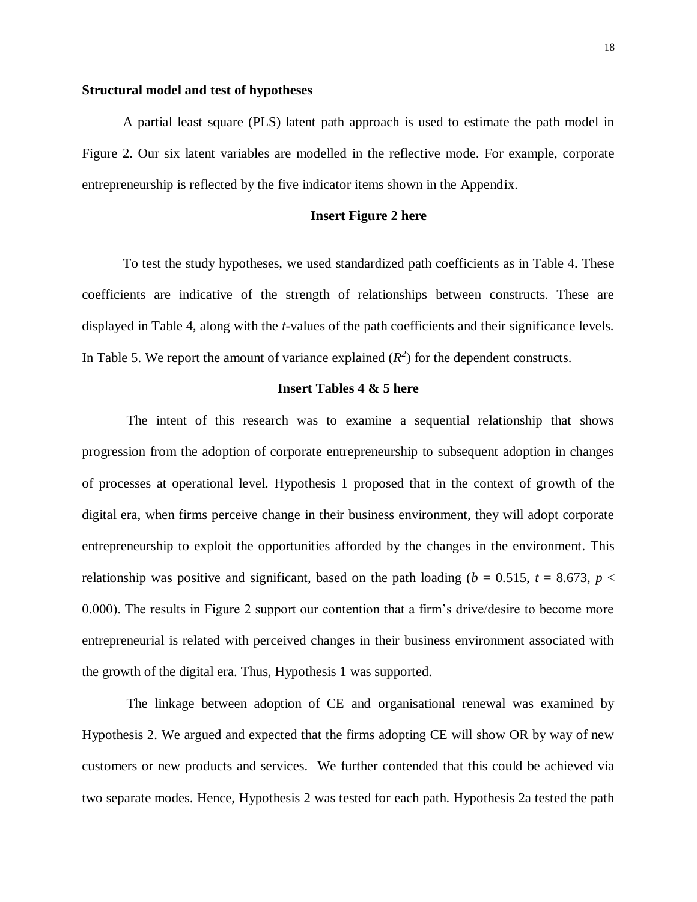#### **Structural model and test of hypotheses**

A partial least square (PLS) latent path approach is used to estimate the path model in Figure 2. Our six latent variables are modelled in the reflective mode. For example, corporate entrepreneurship is reflected by the five indicator items shown in the Appendix.

#### **Insert Figure 2 here**

To test the study hypotheses, we used standardized path coefficients as in Table 4. These coefficients are indicative of the strength of relationships between constructs. These are displayed in Table 4, along with the *t*-values of the path coefficients and their significance levels. In Table 5. We report the amount of variance explained  $(R^2)$  for the dependent constructs.

#### **Insert Tables 4 & 5 here**

The intent of this research was to examine a sequential relationship that shows progression from the adoption of corporate entrepreneurship to subsequent adoption in changes of processes at operational level. Hypothesis 1 proposed that in the context of growth of the digital era, when firms perceive change in their business environment, they will adopt corporate entrepreneurship to exploit the opportunities afforded by the changes in the environment. This relationship was positive and significant, based on the path loading ( $b = 0.515$ ,  $t = 8.673$ ,  $p <$ 0.000). The results in Figure 2 support our contention that a firm's drive/desire to become more entrepreneurial is related with perceived changes in their business environment associated with the growth of the digital era. Thus, Hypothesis 1 was supported.

The linkage between adoption of CE and organisational renewal was examined by Hypothesis 2. We argued and expected that the firms adopting CE will show OR by way of new customers or new products and services. We further contended that this could be achieved via two separate modes. Hence, Hypothesis 2 was tested for each path. Hypothesis 2a tested the path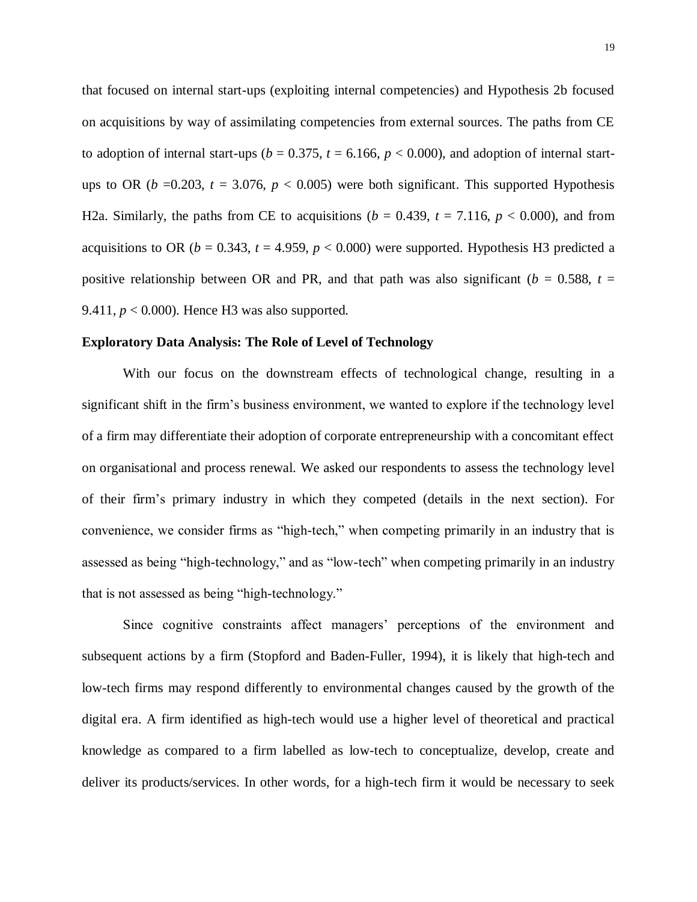that focused on internal start-ups (exploiting internal competencies) and Hypothesis 2b focused on acquisitions by way of assimilating competencies from external sources. The paths from CE to adoption of internal start-ups ( $b = 0.375$ ,  $t = 6.166$ ,  $p < 0.000$ ), and adoption of internal startups to OR ( $b = 0.203$ ,  $t = 3.076$ ,  $p < 0.005$ ) were both significant. This supported Hypothesis H2a. Similarly, the paths from CE to acquisitions ( $b = 0.439$ ,  $t = 7.116$ ,  $p < 0.000$ ), and from acquisitions to OR ( $b = 0.343$ ,  $t = 4.959$ ,  $p < 0.000$ ) were supported. Hypothesis H3 predicted a positive relationship between OR and PR, and that path was also significant ( $b = 0.588$ ,  $t =$ 9.411,  $p < 0.000$ ). Hence H3 was also supported.

#### **Exploratory Data Analysis: The Role of Level of Technology**

With our focus on the downstream effects of technological change, resulting in a significant shift in the firm's business environment, we wanted to explore if the technology level of a firm may differentiate their adoption of corporate entrepreneurship with a concomitant effect on organisational and process renewal. We asked our respondents to assess the technology level of their firm's primary industry in which they competed (details in the next section). For convenience, we consider firms as "high-tech," when competing primarily in an industry that is assessed as being "high-technology," and as "low-tech" when competing primarily in an industry that is not assessed as being "high-technology."

Since cognitive constraints affect managers' perceptions of the environment and subsequent actions by a firm (Stopford and Baden-Fuller, 1994), it is likely that high-tech and low-tech firms may respond differently to environmental changes caused by the growth of the digital era. A firm identified as high-tech would use a higher level of theoretical and practical knowledge as compared to a firm labelled as low-tech to conceptualize, develop, create and deliver its products/services. In other words, for a high-tech firm it would be necessary to seek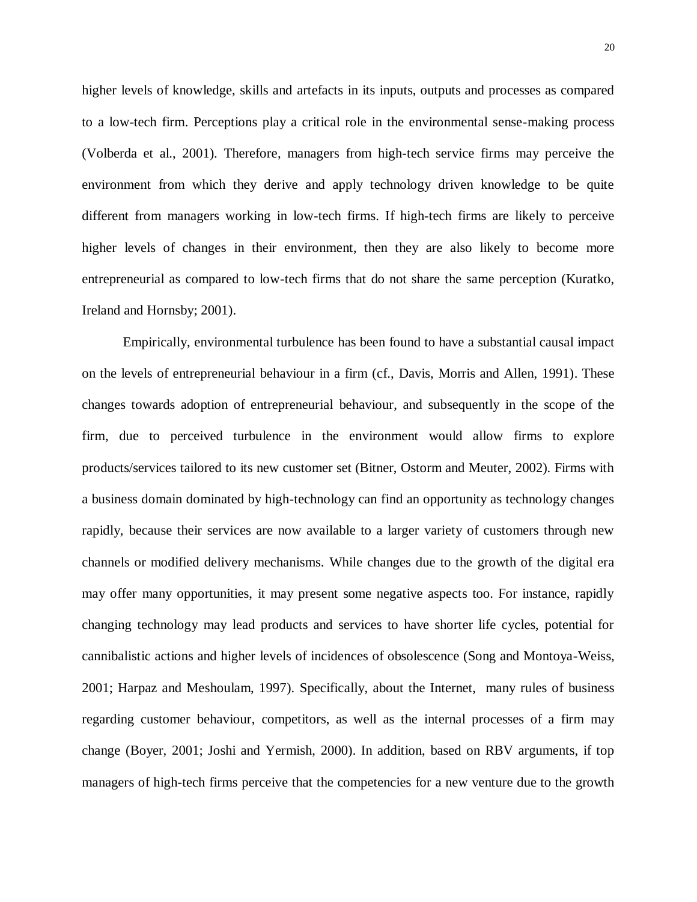higher levels of knowledge, skills and artefacts in its inputs, outputs and processes as compared to a low-tech firm. Perceptions play a critical role in the environmental sense-making process (Volberda et al., 2001). Therefore, managers from high-tech service firms may perceive the environment from which they derive and apply technology driven knowledge to be quite different from managers working in low-tech firms. If high-tech firms are likely to perceive higher levels of changes in their environment, then they are also likely to become more entrepreneurial as compared to low-tech firms that do not share the same perception (Kuratko, Ireland and Hornsby; 2001).

Empirically, environmental turbulence has been found to have a substantial causal impact on the levels of entrepreneurial behaviour in a firm (cf., Davis, Morris and Allen, 1991). These changes towards adoption of entrepreneurial behaviour, and subsequently in the scope of the firm, due to perceived turbulence in the environment would allow firms to explore products/services tailored to its new customer set (Bitner, Ostorm and Meuter, 2002). Firms with a business domain dominated by high-technology can find an opportunity as technology changes rapidly, because their services are now available to a larger variety of customers through new channels or modified delivery mechanisms. While changes due to the growth of the digital era may offer many opportunities, it may present some negative aspects too. For instance, rapidly changing technology may lead products and services to have shorter life cycles, potential for cannibalistic actions and higher levels of incidences of obsolescence (Song and Montoya-Weiss, 2001; Harpaz and Meshoulam, 1997). Specifically, about the Internet, many rules of business regarding customer behaviour, competitors, as well as the internal processes of a firm may change (Boyer, 2001; Joshi and Yermish, 2000). In addition, based on RBV arguments, if top managers of high-tech firms perceive that the competencies for a new venture due to the growth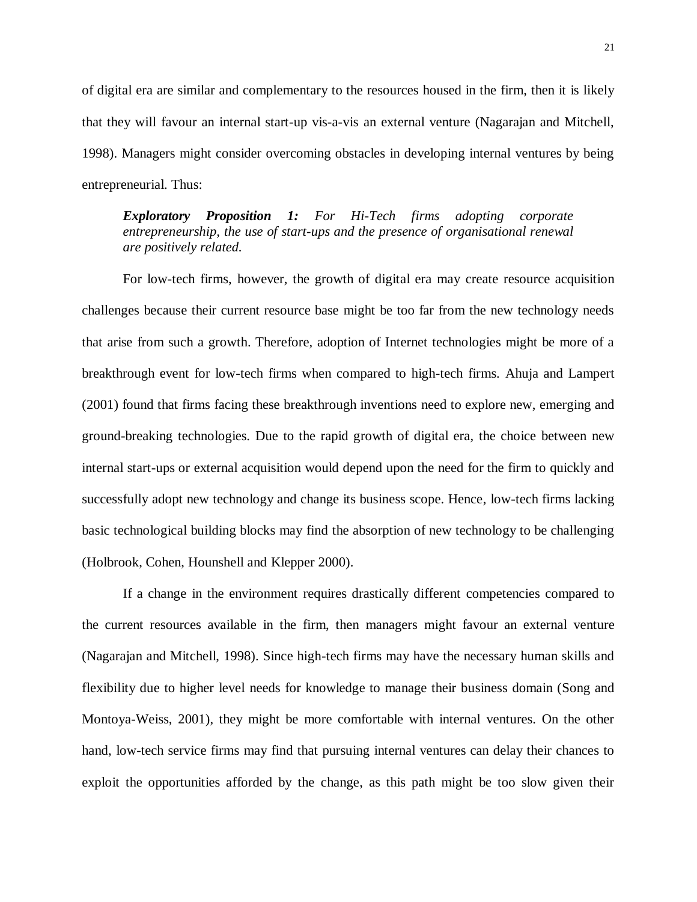of digital era are similar and complementary to the resources housed in the firm, then it is likely that they will favour an internal start-up vis-a-vis an external venture (Nagarajan and Mitchell, 1998). Managers might consider overcoming obstacles in developing internal ventures by being entrepreneurial. Thus:

## *Exploratory Proposition 1: For Hi-Tech firms adopting corporate entrepreneurship, the use of start-ups and the presence of organisational renewal are positively related.*

For low-tech firms, however, the growth of digital era may create resource acquisition challenges because their current resource base might be too far from the new technology needs that arise from such a growth. Therefore, adoption of Internet technologies might be more of a breakthrough event for low-tech firms when compared to high-tech firms. Ahuja and Lampert (2001) found that firms facing these breakthrough inventions need to explore new, emerging and ground-breaking technologies. Due to the rapid growth of digital era, the choice between new internal start-ups or external acquisition would depend upon the need for the firm to quickly and successfully adopt new technology and change its business scope. Hence, low-tech firms lacking basic technological building blocks may find the absorption of new technology to be challenging (Holbrook, Cohen, Hounshell and Klepper 2000).

If a change in the environment requires drastically different competencies compared to the current resources available in the firm, then managers might favour an external venture (Nagarajan and Mitchell, 1998). Since high-tech firms may have the necessary human skills and flexibility due to higher level needs for knowledge to manage their business domain (Song and Montoya-Weiss, 2001), they might be more comfortable with internal ventures. On the other hand, low-tech service firms may find that pursuing internal ventures can delay their chances to exploit the opportunities afforded by the change, as this path might be too slow given their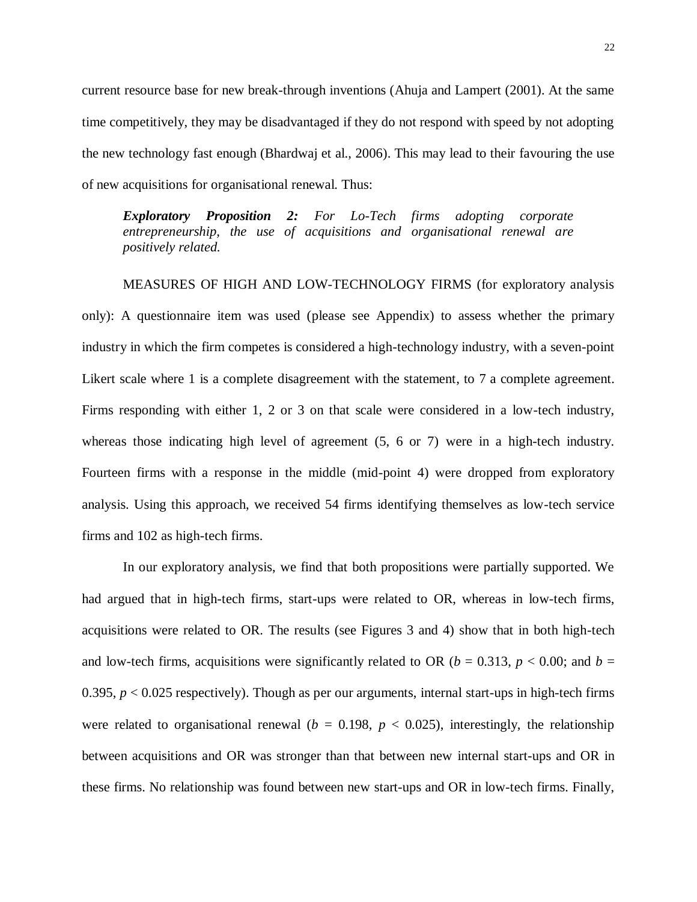current resource base for new break-through inventions (Ahuja and Lampert (2001). At the same time competitively, they may be disadvantaged if they do not respond with speed by not adopting the new technology fast enough (Bhardwaj et al., 2006). This may lead to their favouring the use of new acquisitions for organisational renewal. Thus:

*Exploratory Proposition 2: For Lo-Tech firms adopting corporate entrepreneurship, the use of acquisitions and organisational renewal are positively related.*

MEASURES OF HIGH AND LOW-TECHNOLOGY FIRMS (for exploratory analysis only): A questionnaire item was used (please see Appendix) to assess whether the primary industry in which the firm competes is considered a high-technology industry, with a seven-point Likert scale where 1 is a complete disagreement with the statement, to 7 a complete agreement. Firms responding with either 1, 2 or 3 on that scale were considered in a low-tech industry, whereas those indicating high level of agreement (5, 6 or 7) were in a high-tech industry. Fourteen firms with a response in the middle (mid-point 4) were dropped from exploratory analysis. Using this approach, we received 54 firms identifying themselves as low-tech service firms and 102 as high-tech firms.

In our exploratory analysis, we find that both propositions were partially supported. We had argued that in high-tech firms, start-ups were related to OR, whereas in low-tech firms, acquisitions were related to OR. The results (see Figures 3 and 4) show that in both high-tech and low-tech firms, acquisitions were significantly related to OR ( $b = 0.313$ ,  $p < 0.00$ ; and  $b =$ 0.395, *p* < 0.025 respectively). Though as per our arguments, internal start-ups in high-tech firms were related to organisational renewal ( $b = 0.198$ ,  $p < 0.025$ ), interestingly, the relationship between acquisitions and OR was stronger than that between new internal start-ups and OR in these firms. No relationship was found between new start-ups and OR in low-tech firms. Finally,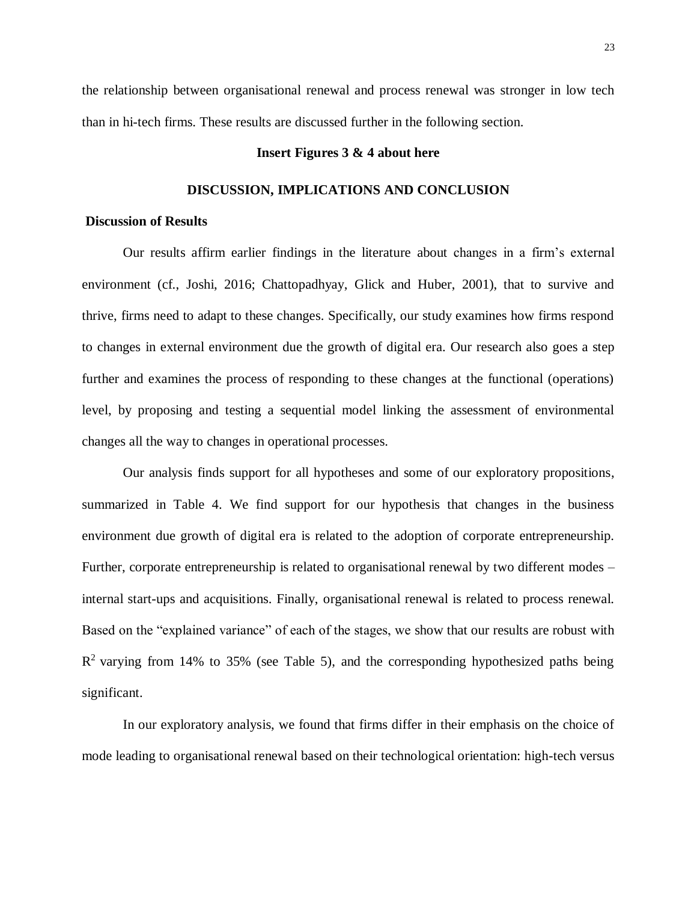the relationship between organisational renewal and process renewal was stronger in low tech than in hi-tech firms. These results are discussed further in the following section.

#### **Insert Figures 3 & 4 about here**

#### **DISCUSSION, IMPLICATIONS AND CONCLUSION**

## **Discussion of Results**

Our results affirm earlier findings in the literature about changes in a firm's external environment (cf., Joshi, 2016; Chattopadhyay, Glick and Huber, 2001), that to survive and thrive, firms need to adapt to these changes. Specifically, our study examines how firms respond to changes in external environment due the growth of digital era. Our research also goes a step further and examines the process of responding to these changes at the functional (operations) level, by proposing and testing a sequential model linking the assessment of environmental changes all the way to changes in operational processes.

Our analysis finds support for all hypotheses and some of our exploratory propositions, summarized in Table 4. We find support for our hypothesis that changes in the business environment due growth of digital era is related to the adoption of corporate entrepreneurship. Further, corporate entrepreneurship is related to organisational renewal by two different modes – internal start-ups and acquisitions. Finally, organisational renewal is related to process renewal. Based on the "explained variance" of each of the stages, we show that our results are robust with  $R<sup>2</sup>$  varying from 14% to 35% (see Table 5), and the corresponding hypothesized paths being significant.

In our exploratory analysis, we found that firms differ in their emphasis on the choice of mode leading to organisational renewal based on their technological orientation: high-tech versus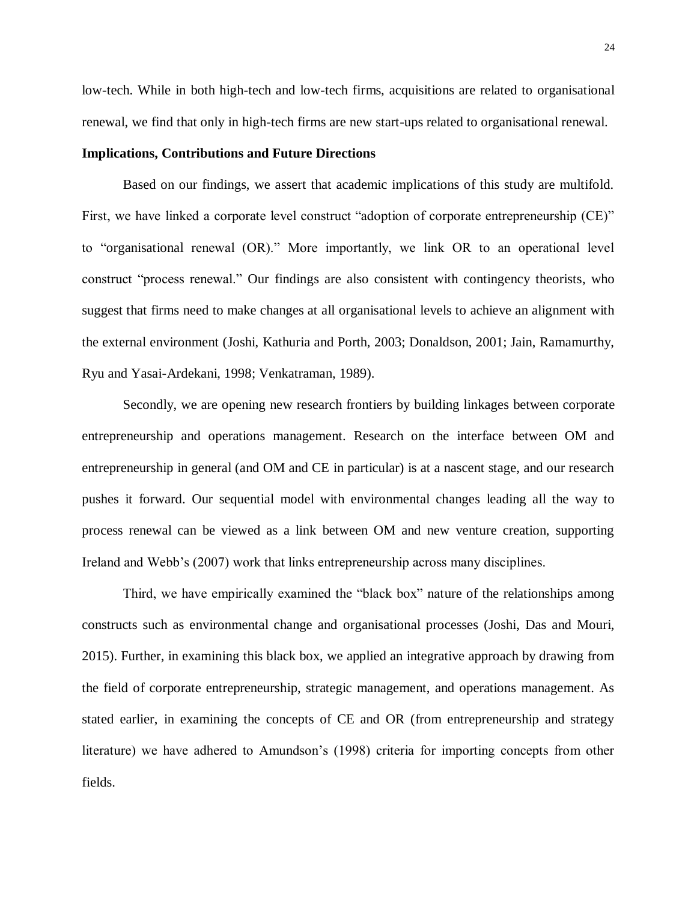low-tech. While in both high-tech and low-tech firms, acquisitions are related to organisational renewal, we find that only in high-tech firms are new start-ups related to organisational renewal.

#### **Implications, Contributions and Future Directions**

Based on our findings, we assert that academic implications of this study are multifold. First, we have linked a corporate level construct "adoption of corporate entrepreneurship (CE)" to "organisational renewal (OR)." More importantly, we link OR to an operational level construct "process renewal." Our findings are also consistent with contingency theorists, who suggest that firms need to make changes at all organisational levels to achieve an alignment with the external environment (Joshi, Kathuria and Porth, 2003; Donaldson, 2001; Jain, Ramamurthy, Ryu and Yasai-Ardekani, 1998; Venkatraman, 1989).

Secondly, we are opening new research frontiers by building linkages between corporate entrepreneurship and operations management. Research on the interface between OM and entrepreneurship in general (and OM and CE in particular) is at a nascent stage, and our research pushes it forward. Our sequential model with environmental changes leading all the way to process renewal can be viewed as a link between OM and new venture creation, supporting Ireland and Webb's (2007) work that links entrepreneurship across many disciplines.

Third, we have empirically examined the "black box" nature of the relationships among constructs such as environmental change and organisational processes (Joshi, Das and Mouri, 2015). Further, in examining this black box, we applied an integrative approach by drawing from the field of corporate entrepreneurship, strategic management, and operations management. As stated earlier, in examining the concepts of CE and OR (from entrepreneurship and strategy literature) we have adhered to Amundson's (1998) criteria for importing concepts from other fields.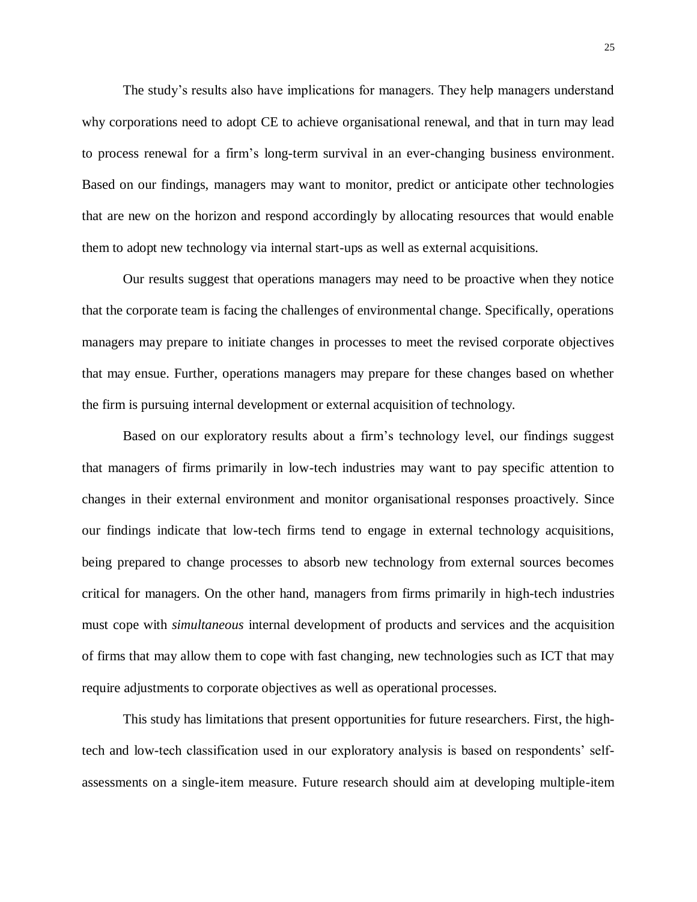The study's results also have implications for managers. They help managers understand why corporations need to adopt CE to achieve organisational renewal, and that in turn may lead to process renewal for a firm's long-term survival in an ever-changing business environment. Based on our findings, managers may want to monitor, predict or anticipate other technologies that are new on the horizon and respond accordingly by allocating resources that would enable them to adopt new technology via internal start-ups as well as external acquisitions.

Our results suggest that operations managers may need to be proactive when they notice that the corporate team is facing the challenges of environmental change. Specifically, operations managers may prepare to initiate changes in processes to meet the revised corporate objectives that may ensue. Further, operations managers may prepare for these changes based on whether the firm is pursuing internal development or external acquisition of technology.

Based on our exploratory results about a firm's technology level, our findings suggest that managers of firms primarily in low-tech industries may want to pay specific attention to changes in their external environment and monitor organisational responses proactively. Since our findings indicate that low-tech firms tend to engage in external technology acquisitions, being prepared to change processes to absorb new technology from external sources becomes critical for managers. On the other hand, managers from firms primarily in high-tech industries must cope with *simultaneous* internal development of products and services and the acquisition of firms that may allow them to cope with fast changing, new technologies such as ICT that may require adjustments to corporate objectives as well as operational processes.

This study has limitations that present opportunities for future researchers. First, the hightech and low-tech classification used in our exploratory analysis is based on respondents' selfassessments on a single-item measure. Future research should aim at developing multiple-item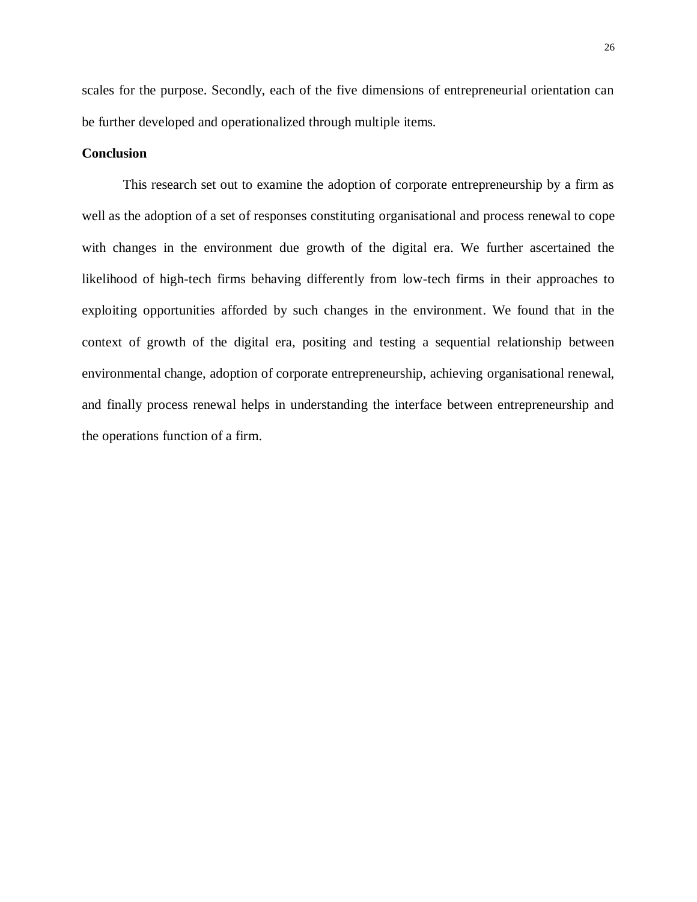scales for the purpose. Secondly, each of the five dimensions of entrepreneurial orientation can be further developed and operationalized through multiple items.

#### **Conclusion**

This research set out to examine the adoption of corporate entrepreneurship by a firm as well as the adoption of a set of responses constituting organisational and process renewal to cope with changes in the environment due growth of the digital era. We further ascertained the likelihood of high-tech firms behaving differently from low-tech firms in their approaches to exploiting opportunities afforded by such changes in the environment. We found that in the context of growth of the digital era, positing and testing a sequential relationship between environmental change, adoption of corporate entrepreneurship, achieving organisational renewal, and finally process renewal helps in understanding the interface between entrepreneurship and the operations function of a firm.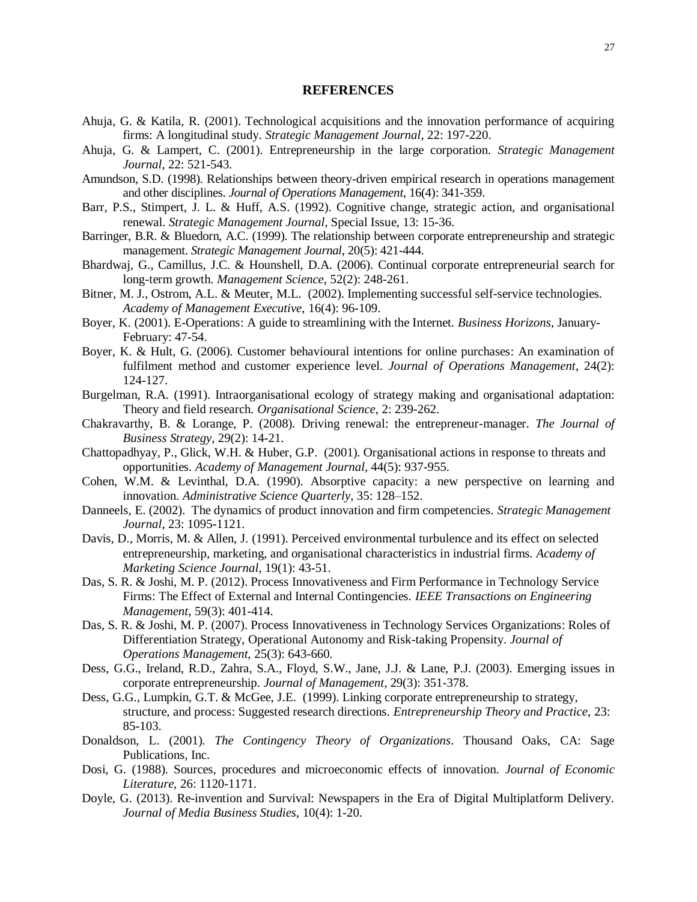#### **REFERENCES**

- Ahuja, G. & Katila, R. (2001). Technological acquisitions and the innovation performance of acquiring firms: A longitudinal study. *Strategic Management Journal*, 22: 197-220.
- Ahuja, G. & Lampert, C. (2001). Entrepreneurship in the large corporation. *Strategic Management Journal*, 22: 521-543.
- Amundson, S.D. (1998). Relationships between theory-driven empirical research in operations management and other disciplines. *Journal of Operations Management*, 16(4): 341-359.
- Barr, P.S., Stimpert, J. L. & Huff, A.S. (1992). Cognitive change, strategic action, and organisational renewal. *Strategic Management Journal*, Special Issue, 13: 15-36.
- Barringer, B.R. & Bluedorn, A.C. (1999). The relationship between corporate entrepreneurship and strategic management. *Strategic Management Journal*, 20(5): 421-444.
- Bhardwaj, G., Camillus, J.C. & Hounshell, D.A. (2006). Continual corporate entrepreneurial search for long-term growth. *Management Science*, 52(2): 248-261.
- Bitner, M. J., Ostrom, A.L. & Meuter, M.L. (2002). Implementing successful self-service technologies. *Academy of Management Executive*, 16(4): 96-109.
- Boyer, K. (2001). E-Operations: A guide to streamlining with the Internet. *Business Horizons*, January-February: 47-54.
- Boyer, K. & Hult, G. (2006). Customer behavioural intentions for online purchases: An examination of fulfilment method and customer experience level. *Journal of Operations Management*, 24(2): 124-127.
- Burgelman, R.A. (1991). Intraorganisational ecology of strategy making and organisational adaptation: Theory and field research. *Organisational Science*, 2: 239-262.
- Chakravarthy, B. & Lorange, P. (2008). Driving renewal: the entrepreneur-manager. *The Journal of Business Strategy*, 29(2): 14-21.
- Chattopadhyay, P., Glick, W.H. & Huber, G.P. (2001). Organisational actions in response to threats and opportunities. *Academy of Management Journal*, 44(5): 937-955.
- Cohen, W.M. & Levinthal, D.A. (1990). Absorptive capacity: a new perspective on learning and innovation. *Administrative Science Quarterly*, 35: 128–152.
- Danneels, E. (2002). The dynamics of product innovation and firm competencies. *Strategic Management Journal*, 23: 1095-1121.
- Davis, D., Morris, M. & Allen, J. (1991). Perceived environmental turbulence and its effect on selected entrepreneurship, marketing, and organisational characteristics in industrial firms. *Academy of Marketing Science Journal*, 19(1): 43-51.
- Das, S. R. & Joshi, M. P. (2012). Process Innovativeness and Firm Performance in Technology Service Firms: The Effect of External and Internal Contingencies. *IEEE Transactions on Engineering Management*, 59(3): 401-414.
- Das, S. R. & Joshi, M. P. (2007). Process Innovativeness in Technology Services Organizations: Roles of Differentiation Strategy, Operational Autonomy and Risk-taking Propensity. *Journal of Operations Management*, 25(3): 643-660.
- Dess, G.G., Ireland, R.D., Zahra, S.A., Floyd, S.W., Jane, J.J. & Lane, P.J. (2003). Emerging issues in corporate entrepreneurship. *Journal of Management*, 29(3): 351-378.
- Dess, G.G., Lumpkin, G.T. & McGee, J.E. (1999). Linking corporate entrepreneurship to strategy, structure, and process: Suggested research directions. *Entrepreneurship Theory and Practice*, 23: 85-103.
- Donaldson, L. (2001). *The Contingency Theory of Organizations*. Thousand Oaks, CA: Sage Publications, Inc.
- Dosi, G. (1988). Sources, procedures and microeconomic effects of innovation. *Journal of Economic Literature*, 26: 1120-1171.
- Doyle, G. (2013). Re-invention and Survival: Newspapers in the Era of Digital Multiplatform Delivery. *Journal of Media Business Studies*, 10(4): 1-20.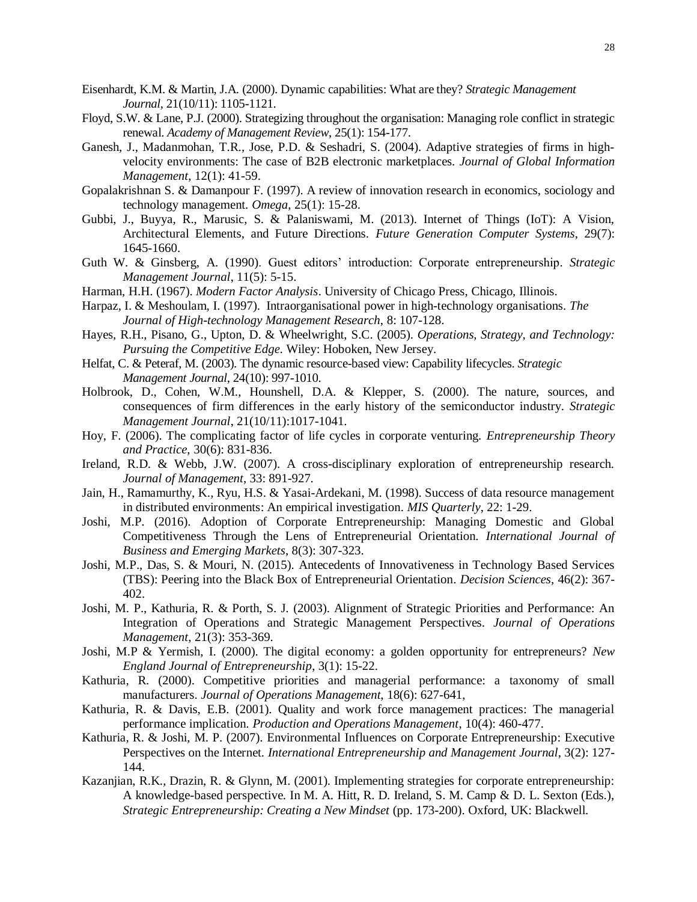- Eisenhardt, K.M. & Martin, J.A. (2000). Dynamic capabilities: What are they? *Strategic Management Journal*, 21(10/11): 1105-1121.
- Floyd, S.W. & Lane, P.J. (2000). Strategizing throughout the organisation: Managing role conflict in strategic renewal. *Academy of Management Review*, 25(1): 154-177.
- Ganesh, J., Madanmohan, T.R., Jose, P.D. & Seshadri, S. (2004). Adaptive strategies of firms in highvelocity environments: The case of B2B electronic marketplaces. *Journal of Global Information Management*, 12(1): 41-59.
- Gopalakrishnan S. & Damanpour F. (1997). A review of innovation research in economics, sociology and technology management. *Omega*, 25(1): 15-28.
- Gubbi, J., Buyya, R., Marusic, S. & Palaniswami, M. (2013). Internet of Things (IoT): A Vision, Architectural Elements, and Future Directions. *Future Generation Computer Systems*, 29(7): 1645-1660.
- Guth W. & Ginsberg, A. (1990). Guest editors' introduction: Corporate entrepreneurship. *Strategic Management Journal*, 11(5): 5-15.
- Harman, H.H. (1967). *Modern Factor Analysis*. University of Chicago Press, Chicago, Illinois.
- Harpaz, I. & Meshoulam, I. (1997). Intraorganisational power in high-technology organisations. *The Journal of High-technology Management Research*, 8: 107-128.
- Hayes, R.H., Pisano, G., Upton, D. & Wheelwright, S.C. (2005). *Operations, Strategy, and Technology: Pursuing the Competitive Edge*. Wiley: Hoboken, New Jersey.
- Helfat, C. & Peteraf, M. (2003). The dynamic resource-based view: Capability lifecycles. *Strategic Management Journal*, 24(10): 997-1010.
- Holbrook, D., Cohen, W.M., Hounshell, D.A. & Klepper, S. (2000). The nature, sources, and consequences of firm differences in the early history of the semiconductor industry. *Strategic Management Journal*, 21(10/11):1017-1041.
- Hoy, F. (2006). The complicating factor of life cycles in corporate venturing. *Entrepreneurship Theory and Practice*, 30(6): 831-836.
- Ireland, R.D. & Webb, J.W. (2007). A cross-disciplinary exploration of entrepreneurship research. *Journal of Management*, 33: 891-927.
- Jain, H., Ramamurthy, K., Ryu, H.S. & Yasai-Ardekani, M. (1998). Success of data resource management in distributed environments: An empirical investigation. *MIS Quarterly*, 22: 1-29.
- Joshi, M.P. (2016). Adoption of Corporate Entrepreneurship: Managing Domestic and Global Competitiveness Through the Lens of Entrepreneurial Orientation. *International Journal of Business and Emerging Markets*, 8(3): 307-323.
- Joshi, M.P., Das, S. & Mouri, N. (2015). Antecedents of Innovativeness in Technology Based Services (TBS): Peering into the Black Box of Entrepreneurial Orientation. *Decision Sciences*, 46(2): 367- 402.
- Joshi, M. P., Kathuria, R. & Porth, S. J. (2003). Alignment of Strategic Priorities and Performance: An Integration of Operations and Strategic Management Perspectives. *Journal of Operations Management*, 21(3): 353-369.
- Joshi, M.P & Yermish, I. (2000). The digital economy: a golden opportunity for entrepreneurs? *New England Journal of Entrepreneurship*, 3(1): 15-22.
- Kathuria, R. (2000). Competitive priorities and managerial performance: a taxonomy of small manufacturers. *Journal of Operations Management*, 18(6): 627-641,
- Kathuria, R. & Davis, E.B. (2001). Quality and work force management practices: The managerial performance implication. *Production and Operations Management*, 10(4): 460-477.
- Kathuria, R. & Joshi, M. P. (2007). Environmental Influences on Corporate Entrepreneurship: Executive Perspectives on the Internet. *International Entrepreneurship and Management Journal*, 3(2): 127- 144.
- Kazanjian, R.K., Drazin, R. & Glynn, M. (2001). Implementing strategies for corporate entrepreneurship: A knowledge-based perspective. In M. A. Hitt, R. D. Ireland, S. M. Camp & D. L. Sexton (Eds.), *Strategic Entrepreneurship: Creating a New Mindset* (pp. 173-200). Oxford, UK: Blackwell.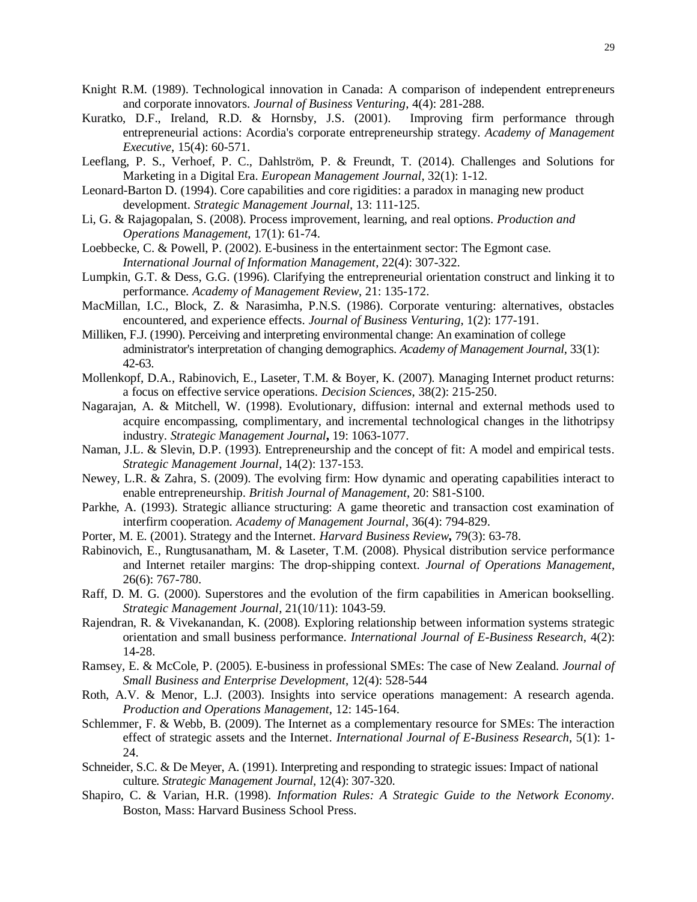- Knight R.M. (1989). Technological innovation in Canada: A comparison of independent entrepreneurs and corporate innovators. *Journal of Business Venturing*, 4(4): 281-288.
- Kuratko, D.F., Ireland, R.D. & Hornsby, J.S. (2001). Improving firm performance through entrepreneurial actions: Acordia's corporate entrepreneurship strategy. *Academy of Management Executive*, 15(4): 60-571.
- Leeflang, P. S., Verhoef, P. C., Dahlström, P. & Freundt, T. (2014). Challenges and Solutions for Marketing in a Digital Era. *European Management Journal*, 32(1): 1-12.
- Leonard-Barton D. (1994). Core capabilities and core rigidities: a paradox in managing new product development. *Strategic Management Journal*, 13: 111-125.
- Li, G. & Rajagopalan, S. (2008). Process improvement, learning, and real options. *Production and Operations Management*, 17(1): 61-74.
- Loebbecke, C. & Powell, P. (2002). E-business in the entertainment sector: The Egmont case. *International Journal of Information Management*, 22(4): 307-322.
- Lumpkin, G.T. & Dess, G.G. (1996). Clarifying the entrepreneurial orientation construct and linking it to performance. *Academy of Management Review*, 21: 135-172.
- MacMillan, I.C., Block, Z. & Narasimha, P.N.S. (1986). Corporate venturing: alternatives, obstacles encountered, and experience effects. *Journal of Business Venturing*, 1(2): 177-191.
- Milliken, F.J. (1990). Perceiving and interpreting environmental change: An examination of college administrator's interpretation of changing demographics. *Academy of Management Journal*, 33(1): 42-63.
- Mollenkopf, D.A., Rabinovich, E., Laseter, T.M. & Boyer, K. (2007). Managing Internet product returns: a focus on effective service operations. *Decision Sciences*, 38(2): 215-250.
- Nagarajan, A. & Mitchell, W. (1998). Evolutionary, diffusion: internal and external methods used to acquire encompassing, complimentary, and incremental technological changes in the lithotripsy industry. *Strategic Management Journal***,** 19: 1063-1077.
- Naman, J.L. & Slevin, D.P. (1993). Entrepreneurship and the concept of fit: A model and empirical tests. *Strategic Management Journal*, 14(2): 137-153.
- Newey, L.R. & Zahra, S. (2009). The evolving firm: How dynamic and operating capabilities interact to enable entrepreneurship. *British Journal of Management*, 20: S81-S100.
- Parkhe, A. (1993). Strategic alliance structuring: A game theoretic and transaction cost examination of interfirm cooperation. *Academy of Management Journal*, 36(4): 794-829.
- Porter, M. E. (2001). Strategy and the Internet. *Harvard Business Review***,** 79(3): 63-78.
- Rabinovich, E., Rungtusanatham, M. & Laseter, T.M. (2008). Physical distribution service performance and Internet retailer margins: The drop-shipping context. *Journal of Operations Management*, 26(6): 767-780.
- Raff, D. M. G. (2000). Superstores and the evolution of the firm capabilities in American bookselling. *Strategic Management Journal*, 21(10/11): 1043-59.
- Rajendran, R. & Vivekanandan, K. (2008). Exploring relationship between information systems strategic orientation and small business performance. *International Journal of E-Business Research*, 4(2): 14-28.
- Ramsey, E. & McCole, P. (2005). E-business in professional SMEs: The case of New Zealand. *Journal of Small Business and Enterprise Development*, 12(4): 528-544
- Roth, A.V. & Menor, L.J. (2003). Insights into service operations management: A research agenda. *Production and Operations Management*, 12: 145-164.
- Schlemmer, F. & Webb, B. (2009). The Internet as a complementary resource for SMEs: The interaction effect of strategic assets and the Internet. *International Journal of E-Business Research*, 5(1): 1- 24.
- Schneider, S.C. & De Meyer, A. (1991). Interpreting and responding to strategic issues: Impact of national culture. *Strategic Management Journal*, 12(4): 307-320.
- Shapiro, C. & Varian, H.R. (1998). *Information Rules: A Strategic Guide to the Network Economy*. Boston, Mass: Harvard Business School Press.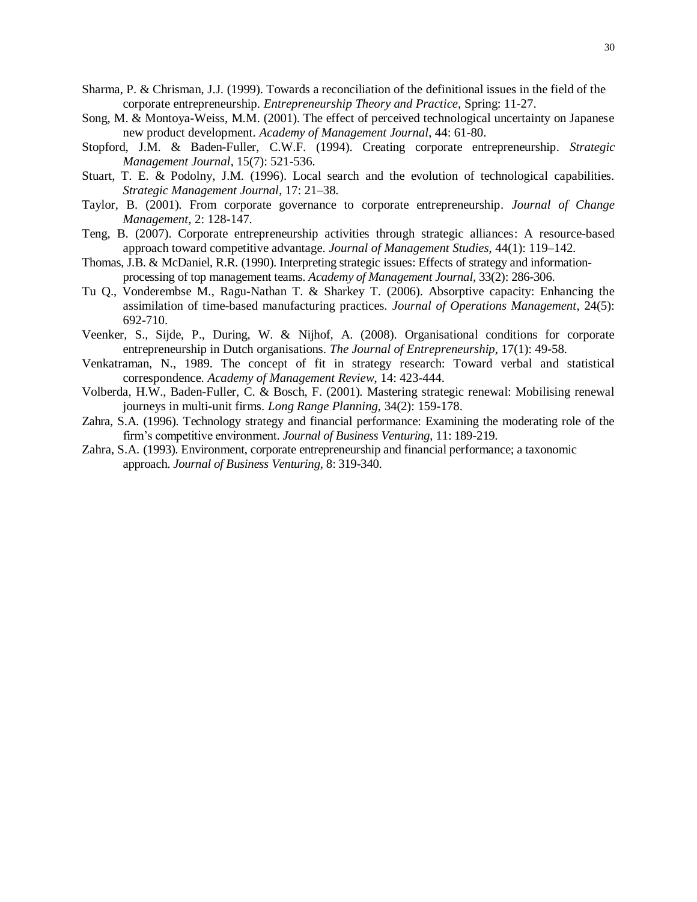- Sharma, P. & Chrisman, J.J. (1999). Towards a reconciliation of the definitional issues in the field of the corporate entrepreneurship. *Entrepreneurship Theory and Practice*, Spring: 11-27.
- Song, M. & Montoya-Weiss, M.M. (2001). The effect of perceived technological uncertainty on Japanese new product development. *Academy of Management Journal*, 44: 61-80.
- Stopford, J.M. & Baden-Fuller, C.W.F. (1994). Creating corporate entrepreneurship. *Strategic Management Journal*, 15(7): 521-536.
- Stuart, T. E. & Podolny, J.M. (1996). Local search and the evolution of technological capabilities. *Strategic Management Journal*, 17: 21–38.
- Taylor, B. (2001). From corporate governance to corporate entrepreneurship. *Journal of Change Management*, 2: 128-147.
- Teng, B. (2007). Corporate entrepreneurship activities through strategic alliances: A resource-based approach toward competitive advantage. *Journal of Management Studies*, 44(1): 119–142.
- Thomas, J.B. & McDaniel, R.R. (1990). Interpreting strategic issues: Effects of strategy and informationprocessing of top management teams. *Academy of Management Journal*, 33(2): 286-306.
- Tu Q., Vonderembse M., Ragu-Nathan T. & Sharkey T. (2006). Absorptive capacity: Enhancing the assimilation of time-based manufacturing practices. *Journal of Operations Management*, 24(5): 692-710.
- Veenker, S., Sijde, P., During, W. & Nijhof, A. (2008). Organisational conditions for corporate entrepreneurship in Dutch organisations. *The Journal of Entrepreneurship*, 17(1): 49-58.
- Venkatraman, N., 1989. The concept of fit in strategy research: Toward verbal and statistical correspondence. *Academy of Management Review*, 14: 423-444.
- Volberda, H.W., Baden-Fuller, C. & Bosch, F. (2001). Mastering strategic renewal: Mobilising renewal journeys in multi-unit firms. *Long Range Planning*, 34(2): 159-178.
- Zahra, S.A. (1996). Technology strategy and financial performance: Examining the moderating role of the firm's competitive environment. *Journal of Business Venturing*, 11: 189-219.
- Zahra, S.A. (1993). Environment, corporate entrepreneurship and financial performance; a taxonomic approach. *Journal of Business Venturing*, 8: 319-340.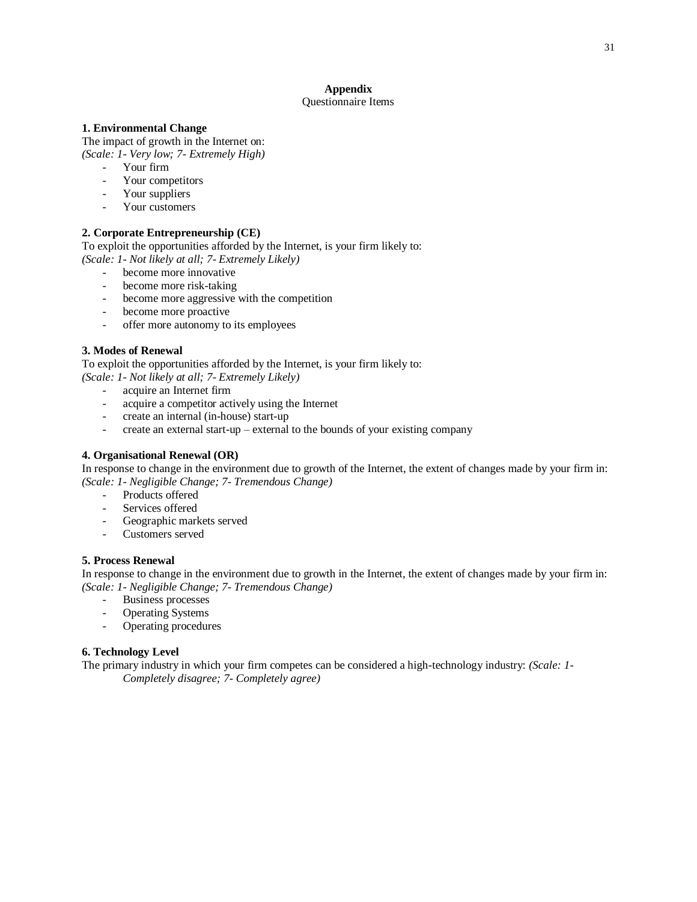## **Appendix**

#### Questionnaire Items

#### **1. Environmental Change**

The impact of growth in the Internet on: *(Scale: 1- Very low; 7- Extremely High)*

- Your firm
- Your competitors
- Your suppliers
- Your customers

#### **2. Corporate Entrepreneurship (CE)**

To exploit the opportunities afforded by the Internet, is your firm likely to: *(Scale: 1- Not likely at all; 7- Extremely Likely)*

- become more innovative
- become more risk-taking
- become more aggressive with the competition
- become more proactive
- offer more autonomy to its employees

#### **3. Modes of Renewal**

To exploit the opportunities afforded by the Internet, is your firm likely to: *(Scale: 1- Not likely at all; 7- Extremely Likely)*

- acquire an Internet firm
- acquire a competitor actively using the Internet
- create an internal (in-house) start-up
- create an external start-up external to the bounds of your existing company

#### **4. Organisational Renewal (OR)**

In response to change in the environment due to growth of the Internet, the extent of changes made by your firm in: *(Scale: 1- Negligible Change; 7- Tremendous Change)*

- Products offered
- Services offered
- Geographic markets served
- Customers served

#### **5. Process Renewal**

In response to change in the environment due to growth in the Internet, the extent of changes made by your firm in: *(Scale: 1- Negligible Change; 7- Tremendous Change)*

- Business processes
- Operating Systems
- Operating procedures

#### **6. Technology Level**

The primary industry in which your firm competes can be considered a high-technology industry: *(Scale: 1- Completely disagree; 7- Completely agree)*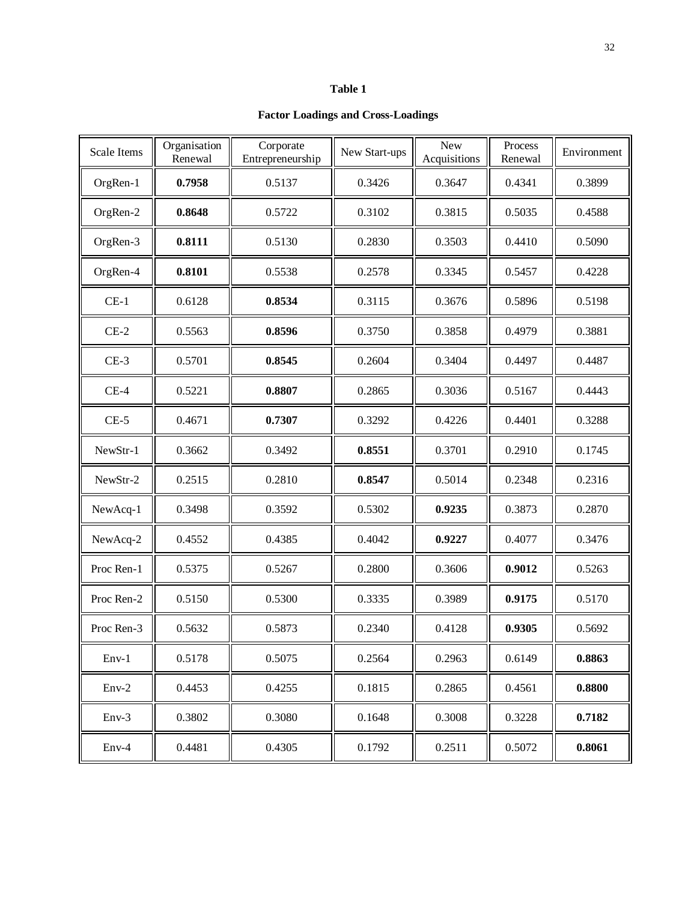#### **Table 1**

#### **Factor Loadings and Cross-Loadings**

| <b>Scale Items</b> | Organisation<br>Renewal | Corporate<br>Entrepreneurship | New Start-ups | <b>New</b><br>Acquisitions | Process<br>Renewal | Environment |
|--------------------|-------------------------|-------------------------------|---------------|----------------------------|--------------------|-------------|
| OrgRen-1           | 0.7958                  | 0.5137                        | 0.3426        | 0.3647                     | 0.4341             | 0.3899      |
| OrgRen-2           | 0.8648                  | 0.5722                        | 0.3102        | 0.3815                     | 0.5035             | 0.4588      |
| OrgRen-3           | 0.8111                  | 0.5130                        | 0.2830        | 0.3503                     | 0.4410             | 0.5090      |
| OrgRen-4           | 0.8101                  | 0.5538                        | 0.2578        | 0.3345                     | 0.5457             | 0.4228      |
| $CE-1$             | 0.6128                  | 0.8534                        | 0.3115        | 0.3676                     | 0.5896             | 0.5198      |
| $CE-2$             | 0.5563                  | 0.8596                        | 0.3750        | 0.3858                     | 0.4979             | 0.3881      |
| $CE-3$             | 0.5701                  | 0.8545                        | 0.2604        | 0.3404                     | 0.4497             | 0.4487      |
| $CE-4$             | 0.5221                  | 0.8807                        | 0.2865        | 0.3036                     | 0.5167             | 0.4443      |
| $CE-5$             | 0.4671                  | 0.7307                        | 0.3292        | 0.4226                     | 0.4401             | 0.3288      |
| NewStr-1           | 0.3662                  | 0.3492                        | 0.8551        | 0.3701                     | 0.2910             | 0.1745      |
| NewStr-2           | 0.2515                  | 0.2810                        | 0.8547        | 0.5014                     | 0.2348             | 0.2316      |
| NewAcq-1           | 0.3498                  | 0.3592                        | 0.5302        | 0.9235                     | 0.3873             | 0.2870      |
| NewAcq-2           | 0.4552                  | 0.4385                        | 0.4042        | 0.9227                     | 0.4077             | 0.3476      |
| Proc Ren-1         | 0.5375                  | 0.5267                        | 0.2800        | 0.3606                     | 0.9012             | 0.5263      |
| Proc Ren-2         | 0.5150                  | 0.5300                        | 0.3335        | 0.3989                     | 0.9175             | 0.5170      |
| Proc Ren-3         | 0.5632                  | 0.5873                        | 0.2340        | 0.4128                     | 0.9305             | 0.5692      |
| $Env-1$            | 0.5178                  | 0.5075                        | 0.2564        | 0.2963                     | 0.6149             | 0.8863      |
| $Env-2$            | 0.4453                  | 0.4255                        | 0.1815        | 0.2865                     | 0.4561             | 0.8800      |
| $Env-3$            | 0.3802                  | 0.3080                        | 0.1648        | 0.3008                     | 0.3228             | 0.7182      |
| $Env-4$            | 0.4481                  | 0.4305                        | 0.1792        | 0.2511                     | 0.5072             | 0.8061      |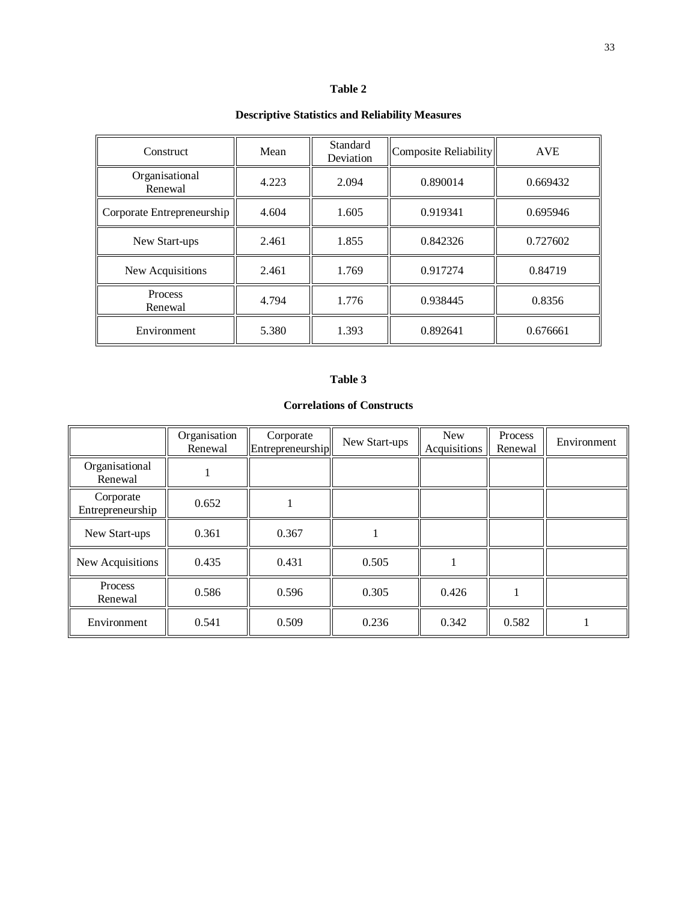#### **Table 2**

## **Descriptive Statistics and Reliability Measures**

| Construct                  | Mean  | Standard<br>Deviation | Composite Reliability | <b>AVE</b> |  |
|----------------------------|-------|-----------------------|-----------------------|------------|--|
| Organisational<br>Renewal  | 4.223 | 2.094                 | 0.890014              | 0.669432   |  |
| Corporate Entrepreneurship | 4.604 | 1.605                 | 0.919341              | 0.695946   |  |
| New Start-ups              | 2.461 | 1.855                 | 0.842326              | 0.727602   |  |
| New Acquisitions           | 2.461 | 1.769                 | 0.917274              | 0.84719    |  |
| Process<br>Renewal         | 4.794 | 1.776                 | 0.938445              | 0.8356     |  |
| Environment                | 5.380 | 1.393                 | 0.892641              | 0.676661   |  |

#### **Table 3**

#### **Correlations of Constructs**

|                               | Organisation<br>Renewal | Corporate<br>Entrepreneurship | New Start-ups | <b>New</b><br>Acquisitions | Process<br>Renewal | Environment |
|-------------------------------|-------------------------|-------------------------------|---------------|----------------------------|--------------------|-------------|
| Organisational<br>Renewal     |                         |                               |               |                            |                    |             |
| Corporate<br>Entrepreneurship | 0.652                   |                               |               |                            |                    |             |
| New Start-ups                 | 0.361                   | 0.367                         |               |                            |                    |             |
| New Acquisitions              | 0.435                   | 0.431                         | 0.505         |                            |                    |             |
| Process<br>Renewal            | 0.586                   | 0.596                         | 0.305         | 0.426                      |                    |             |
| Environment                   | 0.541                   | 0.509                         | 0.236         | 0.342                      | 0.582              |             |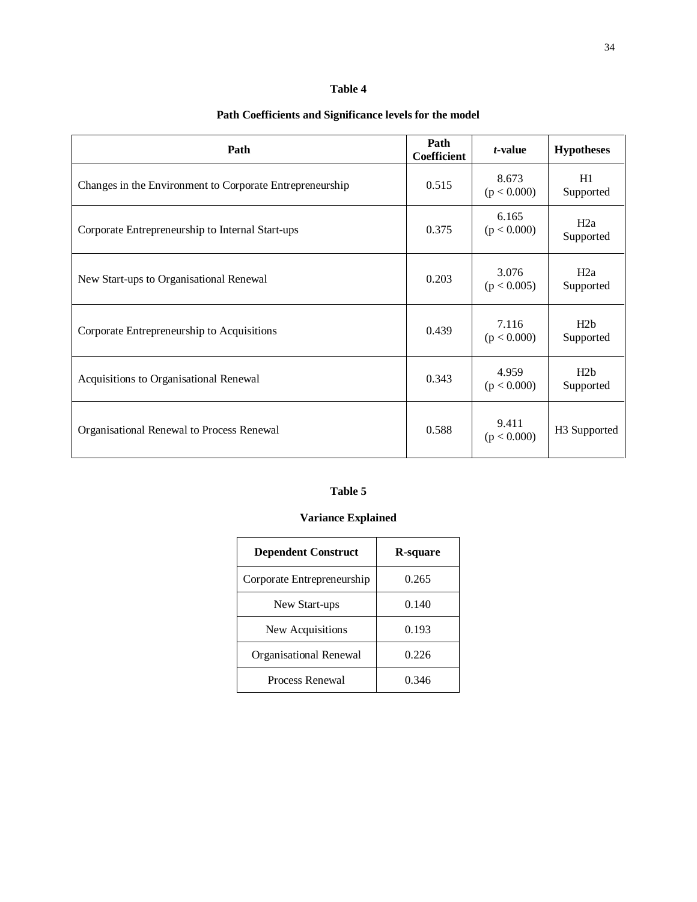#### **Table 4**

## **Path Coefficients and Significance levels for the model**

| Path                                                     | Path<br><b>Coefficient</b> | t-value              | <b>Hypotheses</b> |
|----------------------------------------------------------|----------------------------|----------------------|-------------------|
| Changes in the Environment to Corporate Entrepreneurship | 0.515                      | 8.673<br>(p < 0.000) | H1<br>Supported   |
| Corporate Entrepreneurship to Internal Start-ups         | 0.375                      | 6.165<br>(p < 0.000) | H2a<br>Supported  |
| New Start-ups to Organisational Renewal                  | 0.203                      | 3.076<br>(p < 0.005) | H2a<br>Supported  |
| Corporate Entrepreneurship to Acquisitions               | 0.439                      | 7.116<br>(p < 0.000) | H2b<br>Supported  |
| Acquisitions to Organisational Renewal                   | 0.343                      | 4.959<br>(p < 0.000) | H2h<br>Supported  |
| Organisational Renewal to Process Renewal                | 0.588                      | 9.411<br>(p < 0.000) | H3 Supported      |

## **Table 5**

## **Variance Explained**

| <b>Dependent Construct</b> | R-square |  |  |
|----------------------------|----------|--|--|
| Corporate Entrepreneurship | 0.265    |  |  |
| New Start-ups              | 0.140    |  |  |
| New Acquisitions           | 0.193    |  |  |
| Organisational Renewal     | 0.226    |  |  |
| Process Renewal            | 0 346    |  |  |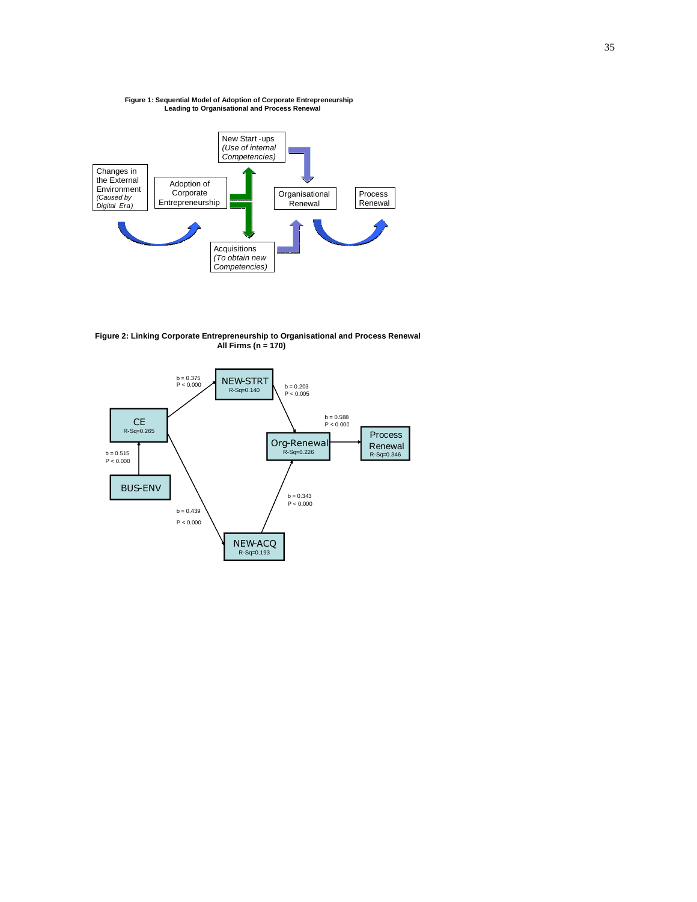## **Figure 1: Sequential Model of Adoption of Corporate Entrepreneurship Leading to Organisational and Process Renewal**



**Figure 2: Linking Corporate Entrepreneurship to Organisational and Process Renewal All Firms (n = 170)**